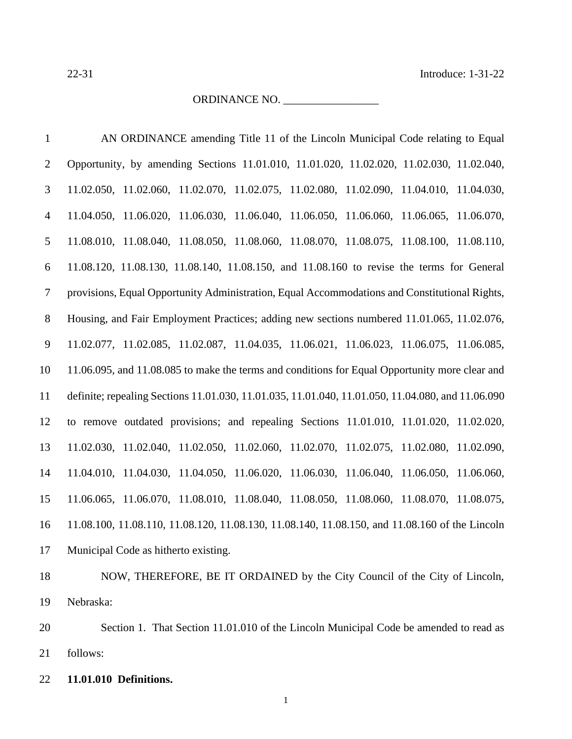### ORDINANCE NO. \_\_\_\_\_\_\_\_\_\_\_\_\_\_\_\_\_

| $\mathbf{1}$   | AN ORDINANCE amending Title 11 of the Lincoln Municipal Code relating to Equal                    |
|----------------|---------------------------------------------------------------------------------------------------|
| $\overline{2}$ | Opportunity, by amending Sections 11.01.010, 11.01.020, 11.02.020, 11.02.030, 11.02.040,          |
| 3              | 11.02.050, 11.02.060, 11.02.070, 11.02.075, 11.02.080, 11.02.090, 11.04.010, 11.04.030,           |
| $\overline{4}$ | 11.04.050, 11.06.020, 11.06.030, 11.06.040, 11.06.050, 11.06.060, 11.06.065, 11.06.070,           |
| 5              | 11.08.010, 11.08.040, 11.08.050, 11.08.060, 11.08.070, 11.08.075, 11.08.100, 11.08.110,           |
| 6              | 11.08.120, 11.08.130, 11.08.140, 11.08.150, and 11.08.160 to revise the terms for General         |
| $\tau$         | provisions, Equal Opportunity Administration, Equal Accommodations and Constitutional Rights,     |
| 8              | Housing, and Fair Employment Practices; adding new sections numbered 11.01.065, 11.02.076,        |
| $\overline{9}$ | 11.02.077, 11.02.085, 11.02.087, 11.04.035, 11.06.021, 11.06.023, 11.06.075, 11.06.085,           |
| 10             | 11.06.095, and 11.08.085 to make the terms and conditions for Equal Opportunity more clear and    |
| 11             | definite; repealing Sections 11.01.030, 11.01.035, 11.01.040, 11.01.050, 11.04.080, and 11.06.090 |
| 12             | to remove outdated provisions; and repealing Sections 11.01.010, 11.01.020, 11.02.020,            |
| 13             | 11.02.030, 11.02.040, 11.02.050, 11.02.060, 11.02.070, 11.02.075, 11.02.080, 11.02.090,           |
| 14             | 11.04.010, 11.04.030, 11.04.050, 11.06.020, 11.06.030, 11.06.040, 11.06.050, 11.06.060,           |
| 15             | 11.06.065, 11.06.070, 11.08.010, 11.08.040, 11.08.050, 11.08.060, 11.08.070, 11.08.075,           |
| 16             | 11.08.100, 11.08.110, 11.08.120, 11.08.130, 11.08.140, 11.08.150, and 11.08.160 of the Lincoln    |
| 17             | Municipal Code as hitherto existing.                                                              |
|                |                                                                                                   |

 NOW, THEREFORE, BE IT ORDAINED by the City Council of the City of Lincoln, Nebraska:

 Section 1. That Section 11.01.010 of the Lincoln Municipal Code be amended to read as follows:

**11.01.010 Definitions.**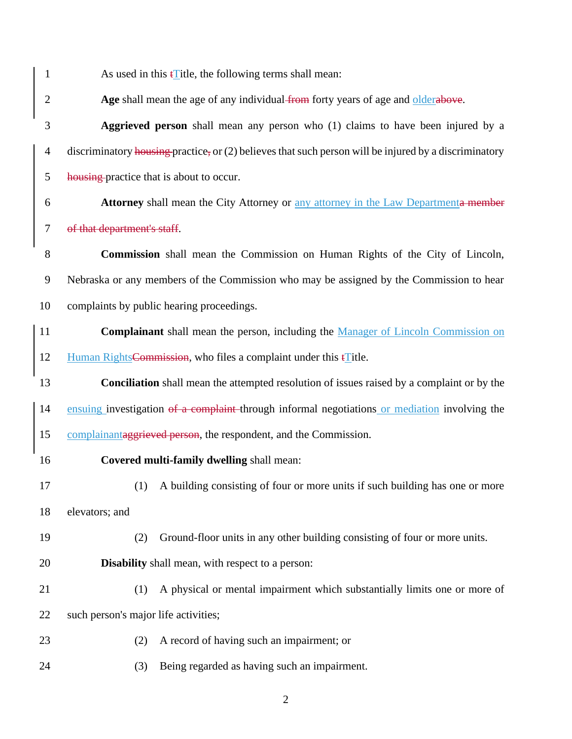| $\mathbf{1}$   | As used in this $\mathbf{f}$ title, the following terms shall mean:                                     |  |  |  |
|----------------|---------------------------------------------------------------------------------------------------------|--|--|--|
| $\overline{2}$ | Age shall mean the age of any individual from forty years of age and olderabove.                        |  |  |  |
| 3              | Aggrieved person shall mean any person who (1) claims to have been injured by a                         |  |  |  |
| 4              | discriminatory housing practice, or $(2)$ believes that such person will be injured by a discriminatory |  |  |  |
| 5              | housing-practice that is about to occur.                                                                |  |  |  |
| 6              | Attorney shall mean the City Attorney or any attorney in the Law Departmenta member                     |  |  |  |
| $\tau$         | of that department's staff.                                                                             |  |  |  |
| 8              | <b>Commission</b> shall mean the Commission on Human Rights of the City of Lincoln,                     |  |  |  |
| 9              | Nebraska or any members of the Commission who may be assigned by the Commission to hear                 |  |  |  |
| 10             | complaints by public hearing proceedings.                                                               |  |  |  |
| 11             | Complainant shall mean the person, including the Manager of Lincoln Commission on                       |  |  |  |
| 12             | Human Rights Commission, who files a complaint under this $\mathbf{f}$ Title.                           |  |  |  |
| 13             | <b>Conciliation</b> shall mean the attempted resolution of issues raised by a complaint or by the       |  |  |  |
| 14             | ensuing investigation of a complaint through informal negotiations or mediation involving the           |  |  |  |
| 15             | complainant aggrieved person, the respondent, and the Commission.                                       |  |  |  |
| 16             | Covered multi-family dwelling shall mean:                                                               |  |  |  |
| 17             | (1) A building consisting of four or more units if such building has one or more                        |  |  |  |
| 18             | elevators; and                                                                                          |  |  |  |
| 19             | Ground-floor units in any other building consisting of four or more units.<br>(2)                       |  |  |  |
| 20             | Disability shall mean, with respect to a person:                                                        |  |  |  |
| 21             | A physical or mental impairment which substantially limits one or more of<br>(1)                        |  |  |  |
| 22             | such person's major life activities;                                                                    |  |  |  |
| 23             | A record of having such an impairment; or<br>(2)                                                        |  |  |  |
| 24             | Being regarded as having such an impairment.<br>(3)                                                     |  |  |  |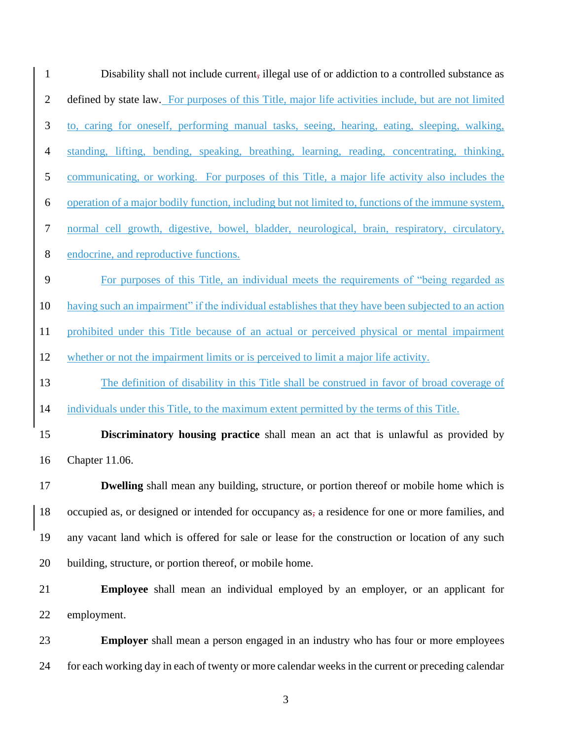| $\mathbf{1}$     | Disability shall not include current, illegal use of or addiction to a controlled substance as       |  |  |  |
|------------------|------------------------------------------------------------------------------------------------------|--|--|--|
| $\mathbf{2}$     | defined by state law. For purposes of this Title, major life activities include, but are not limited |  |  |  |
| $\mathfrak{Z}$   | to, caring for oneself, performing manual tasks, seeing, hearing, eating, sleeping, walking,         |  |  |  |
| $\overline{4}$   | standing, lifting, bending, speaking, breathing, learning, reading, concentrating, thinking,         |  |  |  |
| 5                | communicating, or working. For purposes of this Title, a major life activity also includes the       |  |  |  |
| 6                | operation of a major bodily function, including but not limited to, functions of the immune system,  |  |  |  |
| $\boldsymbol{7}$ | normal cell growth, digestive, bowel, bladder, neurological, brain, respiratory, circulatory,        |  |  |  |
| $8\,$            | endocrine, and reproductive functions.                                                               |  |  |  |
| 9                | For purposes of this Title, an individual meets the requirements of "being regarded as               |  |  |  |
| 10               | having such an impairment" if the individual establishes that they have been subjected to an action  |  |  |  |
| 11               | prohibited under this Title because of an actual or perceived physical or mental impairment          |  |  |  |
| 12               | whether or not the impairment limits or is perceived to limit a major life activity.                 |  |  |  |
| 13               | The definition of disability in this Title shall be construed in favor of broad coverage of          |  |  |  |
| 14               | individuals under this Title, to the maximum extent permitted by the terms of this Title.            |  |  |  |
| 15               | <b>Discriminatory housing practice</b> shall mean an act that is unlawful as provided by             |  |  |  |
| 16               | Chapter 11.06.                                                                                       |  |  |  |
| 17               | <b>Dwelling</b> shall mean any building, structure, or portion thereof or mobile home which is       |  |  |  |
| 18               | occupied as, or designed or intended for occupancy as, a residence for one or more families, and     |  |  |  |
| 19               | any vacant land which is offered for sale or lease for the construction or location of any such      |  |  |  |
| 20               | building, structure, or portion thereof, or mobile home.                                             |  |  |  |
| 21               | <b>Employee</b> shall mean an individual employed by an employer, or an applicant for                |  |  |  |
| 22               | employment.                                                                                          |  |  |  |
|                  |                                                                                                      |  |  |  |

23 **Employer** shall mean a person engaged in an industry who has four or more employees 24 for each working day in each of twenty or more calendar weeks in the current or preceding calendar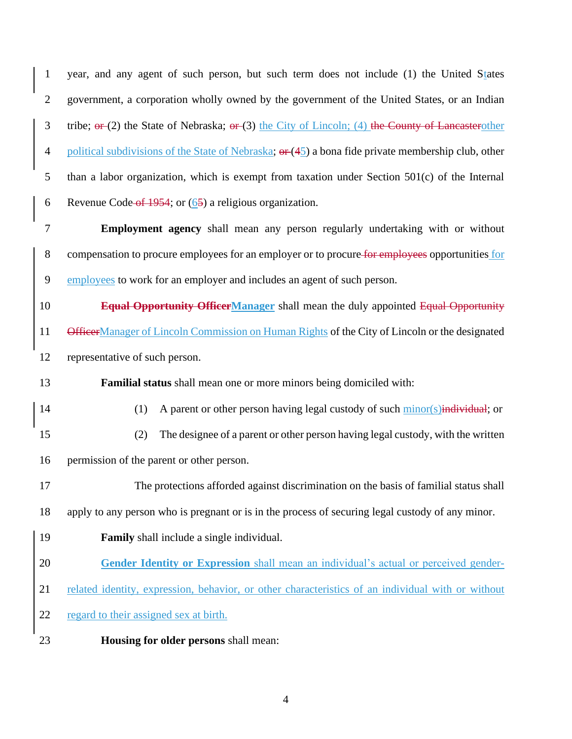year, and any agent of such person, but such term does not include (1) the United States government, a corporation wholly owned by the government of the United States, or an Indian 3 tribe;  $\sigma$  (2) the State of Nebraska;  $\sigma$  (3) the City of Lincoln; (4) the County of Lancasterother 4 political subdivisions of the State of Nebraska;  $\sigma$  (45) a bona fide private membership club, other than a labor organization, which is exempt from taxation under Section 501(c) of the Internal 6 Revenue Code of 1954; or  $(65)$  a religious organization. **Employment agency** shall mean any person regularly undertaking with or without 8 compensation to procure employees for an employer or to procure for employees opportunities for employees to work for an employer and includes an agent of such person. **Equal Opportunity OfficerManager** shall mean the duly appointed Equal Opportunity 11 OfficerManager of Lincoln Commission on Human Rights of the City of Lincoln or the designated representative of such person. **Familial status** shall mean one or more minors being domiciled with: 14 (1) A parent or other person having legal custody of such minor(s) individual; or (2) The designee of a parent or other person having legal custody, with the written permission of the parent or other person. The protections afforded against discrimination on the basis of familial status shall apply to any person who is pregnant or is in the process of securing legal custody of any minor. **Family** shall include a single individual. **Gender Identity or Expression** shall mean an individual's actual or perceived gender- related identity, expression, behavior, or other characteristics of an individual with or without regard to their assigned sex at birth. **Housing for older persons** shall mean: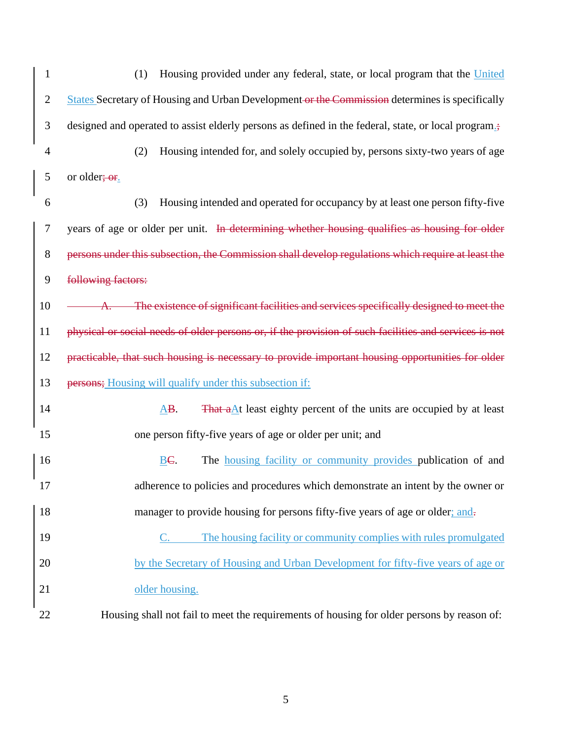| $\mathbf 1$      | Housing provided under any federal, state, or local program that the United<br>(1)                                |  |  |  |
|------------------|-------------------------------------------------------------------------------------------------------------------|--|--|--|
| $\mathbf{2}$     | States Secretary of Housing and Urban Development or the Commission determines is specifically                    |  |  |  |
| 3                | designed and operated to assist elderly persons as defined in the federal, state, or local program <sub>=</sub> ; |  |  |  |
| $\overline{4}$   | Housing intended for, and solely occupied by, persons sixty-two years of age<br>(2)                               |  |  |  |
| 5                | or older; or.                                                                                                     |  |  |  |
| 6                | (3)<br>Housing intended and operated for occupancy by at least one person fifty-five                              |  |  |  |
| $\boldsymbol{7}$ | years of age or older per unit. In determining whether housing qualifies as housing for older                     |  |  |  |
| $8\,$            | persons under this subsection, the Commission shall develop regulations which require at least the                |  |  |  |
| 9                | following factors:                                                                                                |  |  |  |
| 10               | The existence of significant facilities and services specifically designed to meet the                            |  |  |  |
| 11               | physical or social needs of older persons or, if the provision of such facilities and services is not             |  |  |  |
| 12               | practicable, that such housing is necessary to provide important housing opportunities for older                  |  |  |  |
| 13               | persons; Housing will qualify under this subsection if:                                                           |  |  |  |
| 14               | That $a\Delta t$ least eighty percent of the units are occupied by at least<br>$\overline{AB}$ .                  |  |  |  |
| 15               | one person fifty-five years of age or older per unit; and                                                         |  |  |  |
| 16               | BC.<br>The <b>housing facility or community provides</b> publication of and                                       |  |  |  |
| 17               | adherence to policies and procedures which demonstrate an intent by the owner or                                  |  |  |  |
| 18               | manager to provide housing for persons fifty-five years of age or older; and-                                     |  |  |  |
| 19               | The housing facility or community complies with rules promulgated                                                 |  |  |  |
| 20               | by the Secretary of Housing and Urban Development for fifty-five years of age or                                  |  |  |  |
| 21               | older housing.                                                                                                    |  |  |  |
| 22               | Housing shall not fail to meet the requirements of housing for older persons by reason of:                        |  |  |  |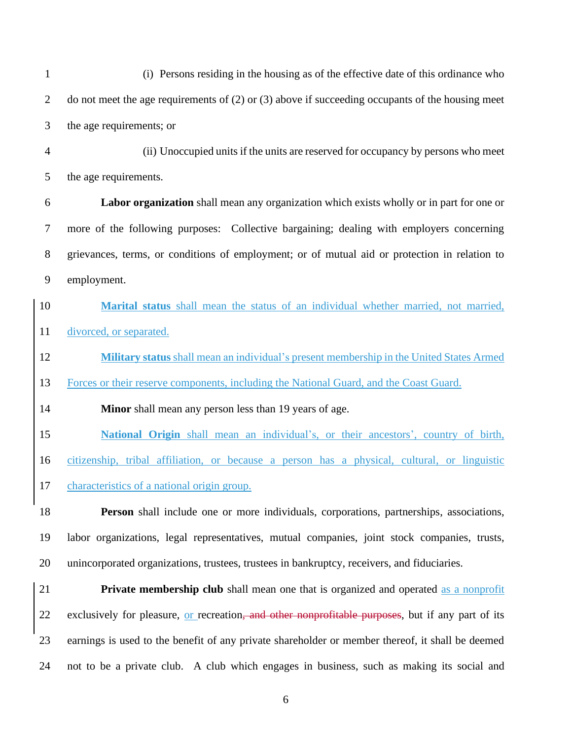| $\mathbf{1}$   | (i) Persons residing in the housing as of the effective date of this ordinance who                   |  |  |
|----------------|------------------------------------------------------------------------------------------------------|--|--|
| $\overline{2}$ | do not meet the age requirements of $(2)$ or $(3)$ above if succeeding occupants of the housing meet |  |  |
| 3              | the age requirements; or                                                                             |  |  |
| $\overline{4}$ | (ii) Unoccupied units if the units are reserved for occupancy by persons who meet                    |  |  |
| 5              | the age requirements.                                                                                |  |  |
| 6              | Labor organization shall mean any organization which exists wholly or in part for one or             |  |  |
| $\tau$         | more of the following purposes: Collective bargaining; dealing with employers concerning             |  |  |
| $8\,$          | grievances, terms, or conditions of employment; or of mutual aid or protection in relation to        |  |  |
| $\mathbf{9}$   | employment.                                                                                          |  |  |
| 10             | Marital status shall mean the status of an individual whether married, not married,                  |  |  |
| 11             | divorced, or separated.                                                                              |  |  |
| 12             | Military status shall mean an individual's present membership in the United States Armed             |  |  |
| 13             | Forces or their reserve components, including the National Guard, and the Coast Guard.               |  |  |
| 14             | Minor shall mean any person less than 19 years of age.                                               |  |  |
| 15             | National Origin shall mean an individual's, or their ancestors', country of birth,                   |  |  |
| 16             | citizenship, tribal affiliation, or because a person has a physical, cultural, or linguistic         |  |  |
| 17             | characteristics of a national origin group.                                                          |  |  |
| 18             | Person shall include one or more individuals, corporations, partnerships, associations,              |  |  |
| 19             | labor organizations, legal representatives, mutual companies, joint stock companies, trusts,         |  |  |
| 20             | unincorporated organizations, trustees, trustees in bankruptcy, receivers, and fiduciaries.          |  |  |
| 21             | <b>Private membership club</b> shall mean one that is organized and operated as a nonprofit          |  |  |
|                |                                                                                                      |  |  |

22 exclusively for pleasure, or recreation, and other nonprofitable purposes, but if any part of its earnings is used to the benefit of any private shareholder or member thereof, it shall be deemed not to be a private club. A club which engages in business, such as making its social and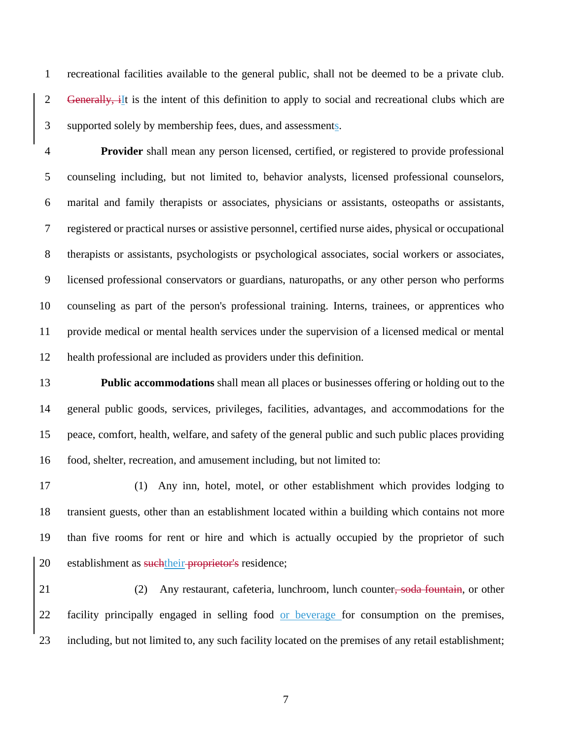recreational facilities available to the general public, shall not be deemed to be a private club. 2 Generally, iIt is the intent of this definition to apply to social and recreational clubs which are supported solely by membership fees, dues, and assessments.

 **Provider** shall mean any person licensed, certified, or registered to provide professional counseling including, but not limited to, behavior analysts, licensed professional counselors, marital and family therapists or associates, physicians or assistants, osteopaths or assistants, registered or practical nurses or assistive personnel, certified nurse aides, physical or occupational therapists or assistants, psychologists or psychological associates, social workers or associates, licensed professional conservators or guardians, naturopaths, or any other person who performs counseling as part of the person's professional training. Interns, trainees, or apprentices who provide medical or mental health services under the supervision of a licensed medical or mental health professional are included as providers under this definition.

 **Public accommodations** shall mean all places or businesses offering or holding out to the general public goods, services, privileges, facilities, advantages, and accommodations for the peace, comfort, health, welfare, and safety of the general public and such public places providing food, shelter, recreation, and amusement including, but not limited to:

 (1) Any inn, hotel, motel, or other establishment which provides lodging to transient guests, other than an establishment located within a building which contains not more than five rooms for rent or hire and which is actually occupied by the proprietor of such 20 establishment as such their proprietor's residence;

21 (2) Any restaurant, cafeteria, lunchroom, lunch counter, soda fountain, or other 22 facility principally engaged in selling food or beverage for consumption on the premises, including, but not limited to, any such facility located on the premises of any retail establishment;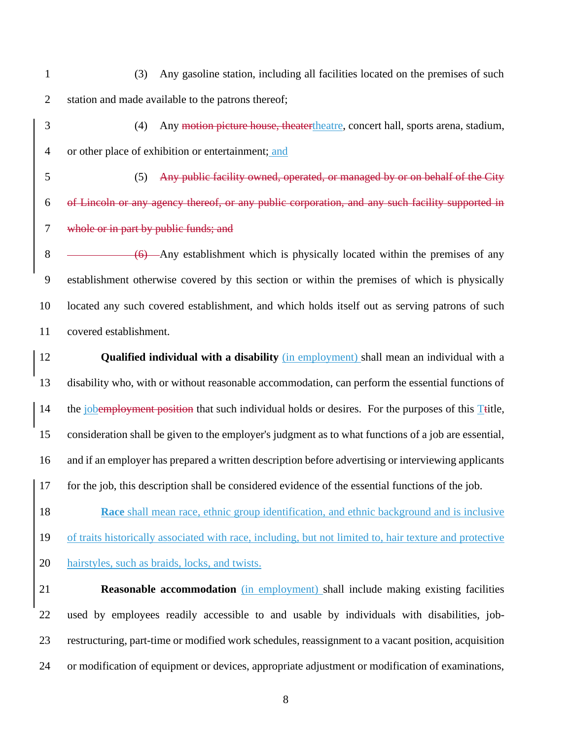- (3) Any gasoline station, including all facilities located on the premises of such station and made available to the patrons thereof;
- (4) Any motion picture house, theatertheatre, concert hall, sports arena, stadium, or other place of exhibition or entertainment; and
- (5) Any public facility owned, operated, or managed by or on behalf of the City of Lincoln or any agency thereof, or any public corporation, and any such facility supported in whole or in part by public funds; and

8 (6) Any establishment which is physically located within the premises of any establishment otherwise covered by this section or within the premises of which is physically located any such covered establishment, and which holds itself out as serving patrons of such covered establishment.

 **Qualified individual with a disability** (in employment) shall mean an individual with a disability who, with or without reasonable accommodation, can perform the essential functions of 14 the jobemployment position that such individual holds or desires. For the purposes of this Ttitle, consideration shall be given to the employer's judgment as to what functions of a job are essential, and if an employer has prepared a written description before advertising or interviewing applicants for the job, this description shall be considered evidence of the essential functions of the job.

**Race** shall mean race, ethnic group identification, and ethnic background and is inclusive of traits historically associated with race, including, but not limited to, hair texture and protective hairstyles, such as braids, locks, and twists.

 **Reasonable accommodation** (in employment) shall include making existing facilities used by employees readily accessible to and usable by individuals with disabilities, job- restructuring, part-time or modified work schedules, reassignment to a vacant position, acquisition or modification of equipment or devices, appropriate adjustment or modification of examinations,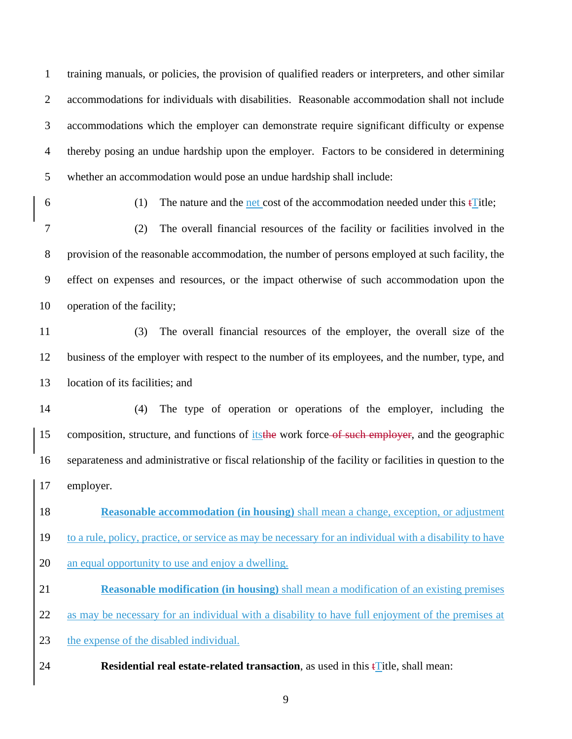training manuals, or policies, the provision of qualified readers or interpreters, and other similar accommodations for individuals with disabilities. Reasonable accommodation shall not include accommodations which the employer can demonstrate require significant difficulty or expense thereby posing an undue hardship upon the employer. Factors to be considered in determining whether an accommodation would pose an undue hardship shall include:

6 (1) The nature and the net cost of the accommodation needed under this  $\text{Fitle}$ ;

 (2) The overall financial resources of the facility or facilities involved in the provision of the reasonable accommodation, the number of persons employed at such facility, the effect on expenses and resources, or the impact otherwise of such accommodation upon the operation of the facility;

 (3) The overall financial resources of the employer, the overall size of the business of the employer with respect to the number of its employees, and the number, type, and location of its facilities; and

 (4) The type of operation or operations of the employer, including the 15 composition, structure, and functions of its the work force of such employer, and the geographic separateness and administrative or fiscal relationship of the facility or facilities in question to the employer.

 **Reasonable accommodation (in housing)** shall mean a change, exception, or adjustment to a rule, policy, practice, or service as may be necessary for an individual with a disability to have an equal opportunity to use and enjoy a dwelling.

 **Reasonable modification (in housing)** shall mean a modification of an existing premises as may be necessary for an individual with a disability to have full enjoyment of the premises at

23 the expense of the disabled individual.

**24 Residential real estate-related transaction**, as used in this  $\mathbf{f}$  Title, shall mean: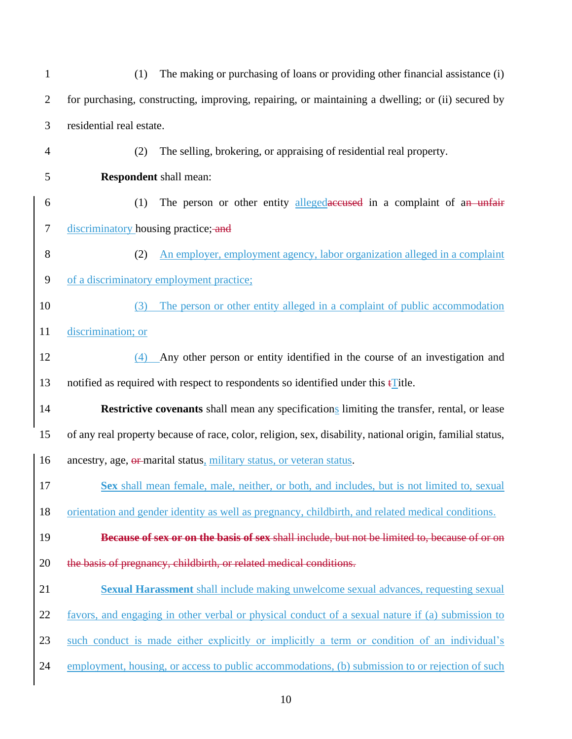(1) The making or purchasing of loans or providing other financial assistance (i) for purchasing, constructing, improving, repairing, or maintaining a dwelling; or (ii) secured by residential real estate. (2) The selling, brokering, or appraising of residential real property. **Respondent** shall mean: 6 (1) The person or other entity alleged accuracies in a complaint of an unfair 7 discriminatory housing practice; and (2) An employer, employment agency, labor organization alleged in a complaint of a discriminatory employment practice; (3) The person or other entity alleged in a complaint of public accommodation discrimination; or (4) Any other person or entity identified in the course of an investigation and notified as required with respect to respondents so identified under this tTitle. **Restrictive covenants** shall mean any specifications limiting the transfer, rental, or lease of any real property because of race, color, religion, sex, disability, national origin, familial status, ancestry, age, or marital status, military status, or veteran status. **Sex** shall mean female, male, neither, or both, and includes, but is not limited to, sexual orientation and gender identity as well as pregnancy, childbirth, and related medical conditions. **Because of sex or on the basis of sex** shall include, but not be limited to, because of or on 20 the basis of pregnancy, childbirth, or related medical conditions. **Sexual Harassment** shall include making unwelcome sexual advances, requesting sexual favors, and engaging in other verbal or physical conduct of a sexual nature if (a) submission to such conduct is made either explicitly or implicitly a term or condition of an individual's employment, housing, or access to public accommodations, (b) submission to or rejection of such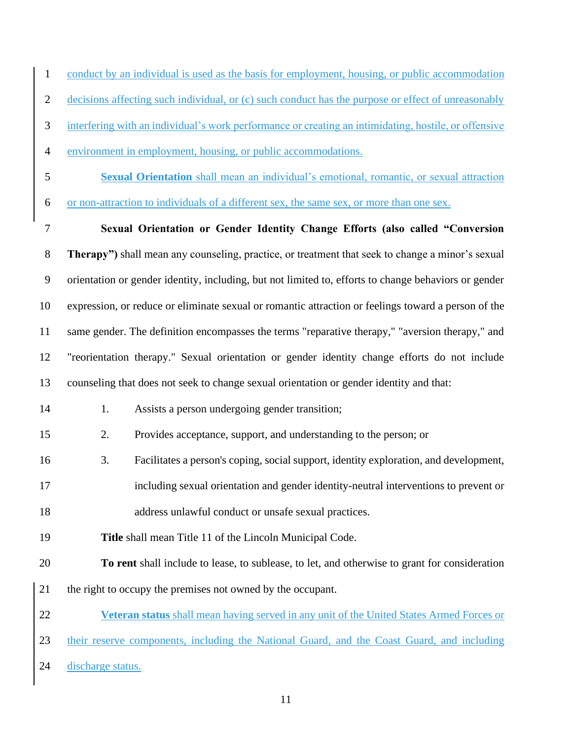conduct by an individual is used as the basis for employment, housing, or public accommodation

- decisions affecting such individual, or (c) such conduct has the purpose or effect of unreasonably
- interfering with an individual's work performance or creating an intimidating, hostile, or offensive
- environment in employment, housing, or public accommodations.
- **Sexual Orientation** shall mean an individual's emotional, romantic, or sexual attraction
- or non-attraction to individuals of a different sex, the same sex, or more than one sex.

 **Sexual Orientation or Gender Identity Change Efforts (also called "Conversion Therapy")** shall mean any counseling, practice, or treatment that seek to change a minor's sexual orientation or gender identity, including, but not limited to, efforts to change behaviors or gender expression, or reduce or eliminate sexual or romantic attraction or feelings toward a person of the same gender. The definition encompasses the terms "reparative therapy," "aversion therapy," and "reorientation therapy." Sexual orientation or gender identity change efforts do not include counseling that does not seek to change sexual orientation or gender identity and that:

- 14 1. Assists a person undergoing gender transition;
- 2. Provides acceptance, support, and understanding to the person; or
- 3. Facilitates a person's coping, social support, identity exploration, and development,
- including sexual orientation and gender identity-neutral interventions to prevent or
- address unlawful conduct or unsafe sexual practices.
- **Title** shall mean Title 11 of the Lincoln Municipal Code.
- **To rent** shall include to lease, to sublease, to let, and otherwise to grant for consideration
- the right to occupy the premises not owned by the occupant.
- **Veteran status** shall mean having served in any unit of the United States Armed Forces or their reserve components, including the National Guard, and the Coast Guard, and including discharge status.
	-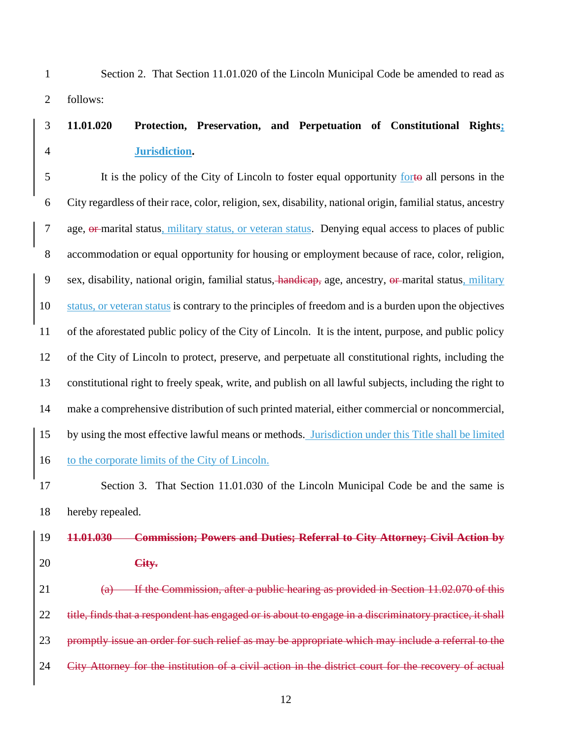Section 2. That Section 11.01.020 of the Lincoln Municipal Code be amended to read as follows:

## **11.01.020 Protection, Preservation, and Perpetuation of Constitutional Rights; Jurisdiction.**

 It is the policy of the City of Lincoln to foster equal opportunity forto all persons in the City regardless of their race, color, religion, sex, disability, national origin, familial status, ancestry age, or marital status, military status, or veteran status. Denying equal access to places of public accommodation or equal opportunity for housing or employment because of race, color, religion, sex, disability, national origin, familial status, handicap, age, ancestry, or marital status, military status, or veteran status is contrary to the principles of freedom and is a burden upon the objectives of the aforestated public policy of the City of Lincoln. It is the intent, purpose, and public policy of the City of Lincoln to protect, preserve, and perpetuate all constitutional rights, including the constitutional right to freely speak, write, and publish on all lawful subjects, including the right to make a comprehensive distribution of such printed material, either commercial or noncommercial, by using the most effective lawful means or methods. Jurisdiction under this Title shall be limited 16 to the corporate limits of the City of Lincoln.

 Section 3. That Section 11.01.030 of the Lincoln Municipal Code be and the same is hereby repealed.

### **11.01.030 Commission; Powers and Duties; Referral to City Attorney; Civil Action by City.**

21 (a) If the Commission, after a public hearing as provided in Section 11.02.070 of this 22 title, finds that a respondent has engaged or is about to engage in a discriminatory practice, it shall promptly issue an order for such relief as may be appropriate which may include a referral to the City Attorney for the institution of a civil action in the district court for the recovery of actual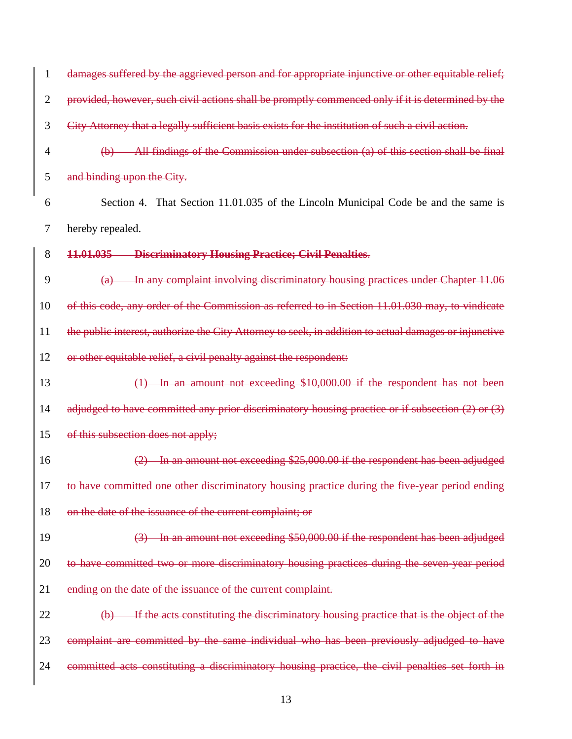| $\mathbf{1}$   | damages suffered by the aggrieved person and for appropriate injunctive or other equitable relief;                  |
|----------------|---------------------------------------------------------------------------------------------------------------------|
| $\overline{2}$ | provided, however, such civil actions shall be promptly commenced only if it is determined by the                   |
| 3              | City Attorney that a legally sufficient basis exists for the institution of such a civil action.                    |
| $\overline{4}$ | $(b)$ All findings of the Commission under subsection (a) of this section shall be final                            |
| 5              | and binding upon the City.                                                                                          |
| 6              | Section 4. That Section 11.01.035 of the Lincoln Municipal Code be and the same is                                  |
| 7              | hereby repealed.                                                                                                    |
| 8              | 11.01.035 Discriminatory Housing Practice; Civil Penalties.                                                         |
| 9              | In any complaint involving discriminatory housing practices under Chapter 11.06<br>(a)                              |
| 10             | of this code, any order of the Commission as referred to in Section 11.01.030 may, to vindicate                     |
| 11             | the public interest, authorize the City Attorney to seek, in addition to actual damages or injunctive               |
| 12             | or other equitable relief, a civil penalty against the respondent:                                                  |
| 13             | $(1)$ In an amount not exceeding \$10,000.00 if the respondent has not been                                         |
| 14             | adjudged to have committed any prior discriminatory housing practice or if subsection $(2)$ or $(3)$                |
| 15             | of this subsection does not apply;                                                                                  |
| 16             | $(2)$ In an amount not exceeding \$25,000.00 if the respondent has been adjudged                                    |
| 17             | to have committed one other discriminatory housing practice during the five-year period ending                      |
| 18             | on the date of the issuance of the current complaint; or                                                            |
| 19             | (3) In an amount not exceeding \$50,000.00 if the respondent has been adjudged                                      |
| 20             | to have committed two or more discriminatory housing practices during the seven year period                         |
| 21             | ending on the date of the issuance of the current complaint.                                                        |
| 22             | If the acts constituting the discriminatory housing practice that is the object of the<br>$\left(\mathbf{b}\right)$ |
| 23             | complaint are committed by the same individual who has been previously adjudged to have                             |
| 24             | committed acts constituting a discriminatory housing practice, the civil penalties set forth in                     |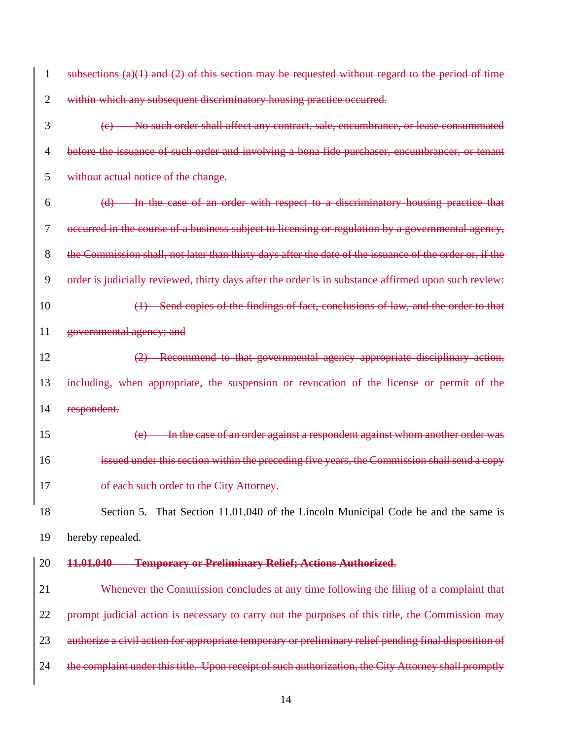| $\mathbf{1}$   | subsections $(a)(1)$ and $(2)$ of this section may be requested without regard to the period of time    |
|----------------|---------------------------------------------------------------------------------------------------------|
| $\overline{2}$ | within which any subsequent discriminatory housing practice occurred.                                   |
| 3              | No such order shall affect any contract, sale, encumbrance, or lease consummated                        |
| $\overline{4}$ | before the issuance of such order and involving a bona fide purchaser, encumbrancer, or tenant          |
| 5              | without actual notice of the change.                                                                    |
| 6              | (d) In the case of an order with respect to a discriminatory housing practice that                      |
| 7              | occurred in the course of a business subject to licensing or regulation by a governmental agency,       |
| 8              | the Commission shall, not later than thirty days after the date of the issuance of the order or, if the |
| 9              | order is judicially reviewed, thirty days after the order is in substance affirmed upon such review:    |
| 10             | (1) Send copies of the findings of fact, conclusions of law, and the order to that                      |
| 11             | governmental agency; and                                                                                |
| 12             | (2) Recommend to that governmental agency appropriate disciplinary action,                              |
| 13             | including, when appropriate, the suspension or revocation of the license or permit of the               |
| 14             | respondent.                                                                                             |
| 15             | In the case of an order against a respondent against whom another order was<br>(e)                      |
| 16             | issued under this section within the preceding five years, the Commission shall send a copy             |
| 17             | of each such order to the City Attorney.                                                                |
| 18             | Section 5. That Section 11.01.040 of the Lincoln Municipal Code be and the same is                      |
| 19             | hereby repealed.                                                                                        |
| 20             | <b>Temporary or Preliminary Relief; Actions Authorized.</b><br>11.01.040                                |
| 21             | Whenever the Commission concludes at any time following the filing of a complaint that                  |
| 22             | prompt judicial action is necessary to carry out the purposes of this title, the Commission may         |
| 23             | authorize a civil action for appropriate temporary or preliminary relief pending final disposition of   |
| 24             | the complaint under this title. Upon receipt of such authorization, the City Attorney shall promptly    |
|                |                                                                                                         |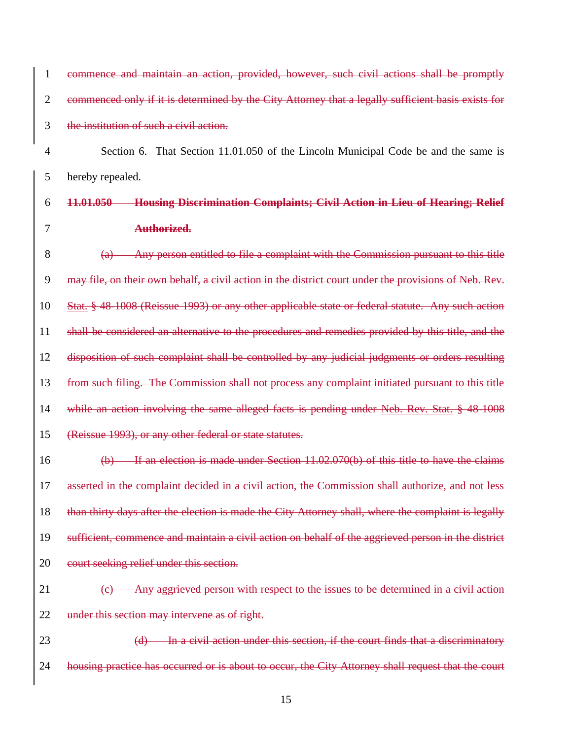| 1              | commence and maintain an action, provided, however, such civil actions shall be promptly                |
|----------------|---------------------------------------------------------------------------------------------------------|
| $\overline{2}$ | commenced only if it is determined by the City Attorney that a legally sufficient basis exists for      |
| 3              | the institution of such a civil action.                                                                 |
| 4              | Section 6. That Section 11.01.050 of the Lincoln Municipal Code be and the same is                      |
| 5              | hereby repealed.                                                                                        |
| 6              | <b>Housing Discrimination Complaints; Civil Action in Lieu of Hearing; Relief</b><br>11.01.050          |
| 7              | Authorized.                                                                                             |
| 8              | Any person entitled to file a complaint with the Commission pursuant to this title<br>$\left( a\right)$ |
| 9              | may file, on their own behalf, a civil action in the district court under the provisions of Neb. Rev.   |
| 10             | Stat. § 48-1008 (Reissue 1993) or any other applicable state or federal statute. Any such action        |
| 11             | shall be considered an alternative to the procedures and remedies provided by this title, and the       |
| 12             | disposition of such complaint shall be controlled by any judicial judgments or orders resulting         |
| 13             | from such filing. The Commission shall not process any complaint initiated pursuant to this title       |
| 14             | while an action involving the same alleged facts is pending under Neb. Rev. Stat. § 48-1008             |
| 15             | (Reissue 1993), or any other federal or state statutes.                                                 |
| 16             | $(b)$ If an election is made under Section 11.02.070(b) of this title to have the claims                |
| 17             | asserted in the complaint decided in a civil action, the Commission shall authorize, and not less       |
| 18             | than thirty days after the election is made the City Attorney shall, where the complaint is legally     |
| 19             | sufficient, commence and maintain a civil action on behalf of the aggrieved person in the district      |
| 20             | court seeking relief under this section.                                                                |
| 21             | (c) Any aggrieved person with respect to the issues to be determined in a civil action                  |
| 22             | under this section may intervene as of right.                                                           |
| 23             | (d) In a civil action under this section, if the court finds that a discriminatory                      |
| 24             | housing practice has occurred or is about to occur, the City Attorney shall request that the court      |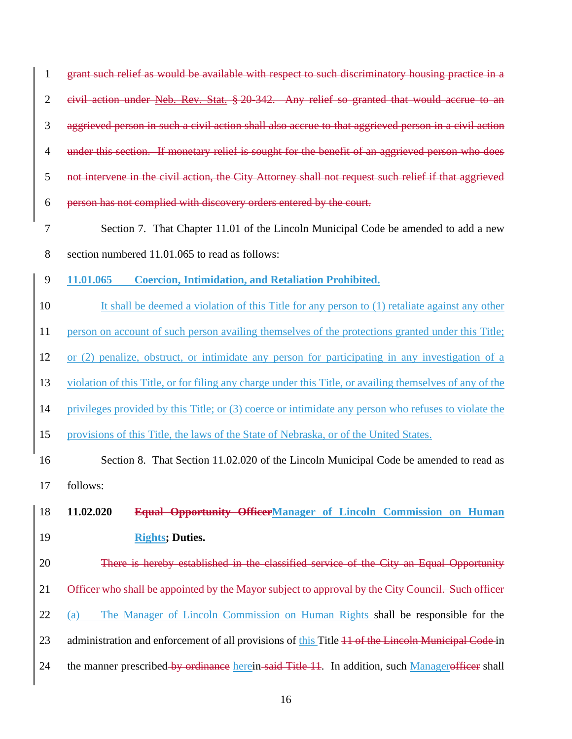| $\mathbf{1}$   | grant such relief as would be available with respect to such discriminatory housing practice in a        |
|----------------|----------------------------------------------------------------------------------------------------------|
| $\mathbf{2}$   | eivil action under Neb. Rev. Stat. § 20-342. Any relief so granted that would accrue to an               |
| 3              | aggrieved person in such a civil action shall also accrue to that aggrieved person in a civil action     |
| $\overline{4}$ | under this section. If monetary relief is sought for the benefit of an aggrieved person who does         |
| 5              | not intervene in the civil action, the City Attorney shall not request such relief if that aggrieved     |
| 6              | person has not complied with discovery orders entered by the court.                                      |
| $\tau$         | Section 7. That Chapter 11.01 of the Lincoln Municipal Code be amended to add a new                      |
| 8              | section numbered 11.01.065 to read as follows:                                                           |
| 9              | 11.01.065<br><b>Coercion, Intimidation, and Retaliation Prohibited.</b>                                  |
| 10             | It shall be deemed a violation of this Title for any person to (1) retaliate against any other           |
| 11             | person on account of such person availing themselves of the protections granted under this Title;        |
| 12             | or (2) penalize, obstruct, or intimidate any person for participating in any investigation of a          |
| 13             | violation of this Title, or for filing any charge under this Title, or availing themselves of any of the |
| 14             | privileges provided by this Title; or (3) coerce or intimidate any person who refuses to violate the     |
| 15             | provisions of this Title, the laws of the State of Nebraska, or of the United States.                    |
| 16             | Section 8. That Section 11.02.020 of the Lincoln Municipal Code be amended to read as                    |
| 17             | follows:                                                                                                 |
| 18             | 11.02.020<br>Equal Opportunity OfficerManager of Lincoln Commission on Human                             |
| 19             | <b>Rights; Duties.</b>                                                                                   |
| 20             | There is hereby established in the classified service of the City an Equal Opportunity                   |
| 21             | Officer who shall be appointed by the Mayor subject to approval by the City Council. Such officer        |
| 22             | The Manager of Lincoln Commission on Human Rights shall be responsible for the<br>(a)                    |
| 23             | administration and enforcement of all provisions of this Title 11 of the Lincoln Municipal Code in       |
| 24             | the manner prescribed by ordinance herein said Title 11. In addition, such Managerofficer shall          |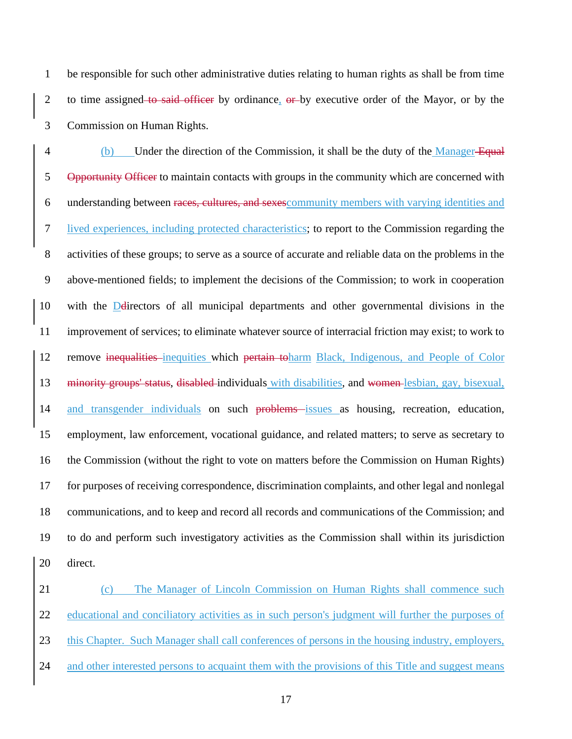be responsible for such other administrative duties relating to human rights as shall be from time 2 to time assigned to said officer by ordinance, or by executive order of the Mayor, or by the Commission on Human Rights.

4 (b) Under the direction of the Commission, it shall be the duty of the Manager-Equal 5 Opportunity Officer to maintain contacts with groups in the community which are concerned with understanding between races, cultures, and sexescommunity members with varying identities and lived experiences, including protected characteristics; to report to the Commission regarding the activities of these groups; to serve as a source of accurate and reliable data on the problems in the above-mentioned fields; to implement the decisions of the Commission; to work in cooperation with the Ddirectors of all municipal departments and other governmental divisions in the improvement of services; to eliminate whatever source of interracial friction may exist; to work to 12 remove inequalities inequities which pertain toharm Black, Indigenous, and People of Color minority groups' status, disabled individuals with disabilities, and women lesbian, gay, bisexual, 14 and transgender individuals on such problems issues as housing, recreation, education, employment, law enforcement, vocational guidance, and related matters; to serve as secretary to the Commission (without the right to vote on matters before the Commission on Human Rights) for purposes of receiving correspondence, discrimination complaints, and other legal and nonlegal communications, and to keep and record all records and communications of the Commission; and to do and perform such investigatory activities as the Commission shall within its jurisdiction direct.

21 (c) The Manager of Lincoln Commission on Human Rights shall commence such educational and conciliatory activities as in such person's judgment will further the purposes of this Chapter. Such Manager shall call conferences of persons in the housing industry, employers, 24 and other interested persons to acquaint them with the provisions of this Title and suggest means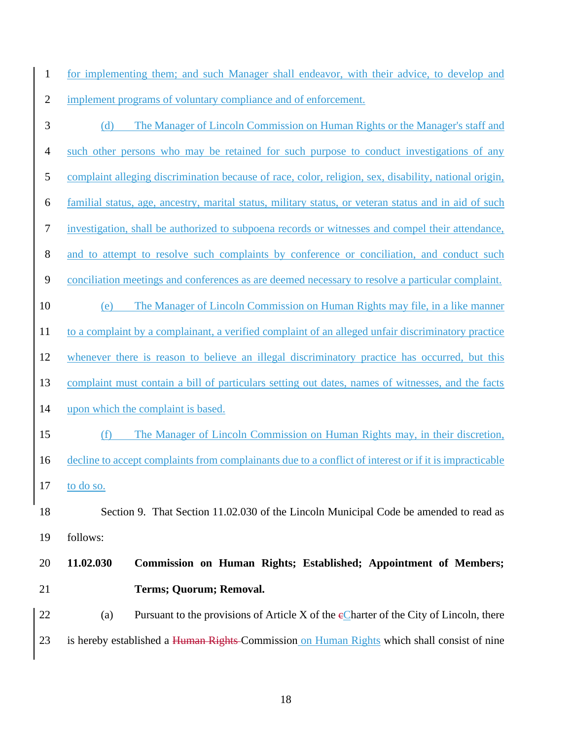for implementing them; and such Manager shall endeavor, with their advice, to develop and implement programs of voluntary compliance and of enforcement.

- (d) The Manager of Lincoln Commission on Human Rights or the Manager's staff and such other persons who may be retained for such purpose to conduct investigations of any complaint alleging discrimination because of race, color, religion, sex, disability, national origin, familial status, age, ancestry, marital status, military status, or veteran status and in aid of such investigation, shall be authorized to subpoena records or witnesses and compel their attendance, and to attempt to resolve such complaints by conference or conciliation, and conduct such conciliation meetings and conferences as are deemed necessary to resolve a particular complaint. (e) The Manager of Lincoln Commission on Human Rights may file, in a like manner to a complaint by a complainant, a verified complaint of an alleged unfair discriminatory practice whenever there is reason to believe an illegal discriminatory practice has occurred, but this complaint must contain a bill of particulars setting out dates, names of witnesses, and the facts upon which the complaint is based. (f) The Manager of Lincoln Commission on Human Rights may, in their discretion, decline to accept complaints from complainants due to a conflict of interest or if it is impracticable to do so. Section 9. That Section 11.02.030 of the Lincoln Municipal Code be amended to read as follows: **11.02.030 Commission on Human Rights; Established; Appointment of Members; Terms; Quorum; Removal.** 22 (a) Pursuant to the provisions of Article X of the  $\epsilon$ Charter of the City of Lincoln, there
- 23 is hereby established a Human Rights-Commission on Human Rights which shall consist of nine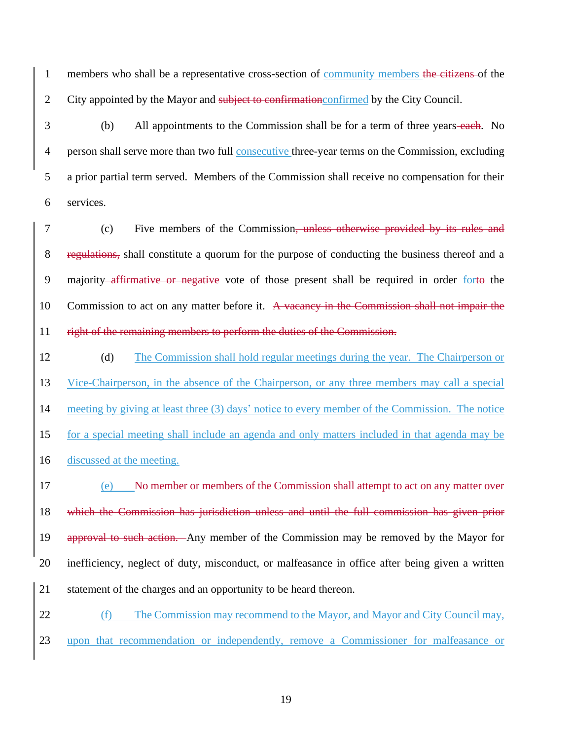1 members who shall be a representative cross-section of community members the citizens of the 2 City appointed by the Mayor and subject to confirmation confirmed by the City Council.

3 (b) All appointments to the Commission shall be for a term of three years-each. No person shall serve more than two full consecutive three-year terms on the Commission, excluding a prior partial term served. Members of the Commission shall receive no compensation for their services.

7 (c) Five members of the Commission, unless otherwise provided by its rules and 8 regulations, shall constitute a quorum for the purpose of conducting the business thereof and a 9 majority affirmative or negative vote of those present shall be required in order forto the 10 Commission to act on any matter before it. A vacancy in the Commission shall not impair the 11 right of the remaining members to perform the duties of the Commission.

12 (d) The Commission shall hold regular meetings during the year. The Chairperson or Vice-Chairperson, in the absence of the Chairperson, or any three members may call a special meeting by giving at least three (3) days' notice to every member of the Commission. The notice for a special meeting shall include an agenda and only matters included in that agenda may be discussed at the meeting.

 (e) No member or members of the Commission shall attempt to act on any matter over which the Commission has jurisdiction unless and until the full commission has given prior 19 approval to such action. Any member of the Commission may be removed by the Mayor for inefficiency, neglect of duty, misconduct, or malfeasance in office after being given a written statement of the charges and an opportunity to be heard thereon.

22 (f) The Commission may recommend to the Mayor, and Mayor and City Council may, 23 upon that recommendation or independently, remove a Commissioner for malfeasance or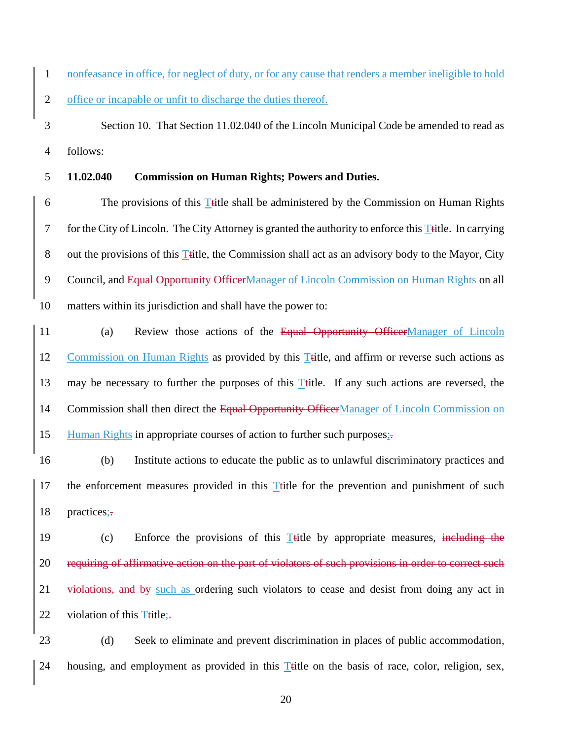1 nonfeasance in office, for neglect of duty, or for any cause that renders a member ineligible to hold 2 office or incapable or unfit to discharge the duties thereof.

3 Section 10. That Section 11.02.040 of the Lincoln Municipal Code be amended to read as 4 follows:

#### 5 **11.02.040 Commission on Human Rights; Powers and Duties.**

6 The provisions of this Title shall be administered by the Commission on Human Rights 7 for the City of Lincoln. The City Attorney is granted the authority to enforce this Title. In carrying 8 out the provisions of this Title, the Commission shall act as an advisory body to the Mayor, City 9 Council, and Equal Opportunity OfficerManager of Lincoln Commission on Human Rights on all 10 matters within its jurisdiction and shall have the power to:

11 (a) Review those actions of the Equal Opportunity OfficerManager of Lincoln 12 Commission on Human Rights as provided by this Ttitle, and affirm or reverse such actions as 13 may be necessary to further the purposes of this Ttitle. If any such actions are reversed, the 14 Commission shall then direct the Equal Opportunity OfficerManager of Lincoln Commission on 15 Human Rights in appropriate courses of action to further such purposes;-

16 (b) Institute actions to educate the public as to unlawful discriminatory practices and 17 the enforcement measures provided in this  $T$ title for the prevention and punishment of such 18 practices;-

19 (c) Enforce the provisions of this Ttitle by appropriate measures, including the 20 requiring of affirmative action on the part of violators of such provisions in order to correct such 21 violations, and by such as ordering such violators to cease and desist from doing any act in 22 violation of this  $T$ title;

23 (d) Seek to eliminate and prevent discrimination in places of public accommodation, 24 housing, and employment as provided in this Title on the basis of race, color, religion, sex,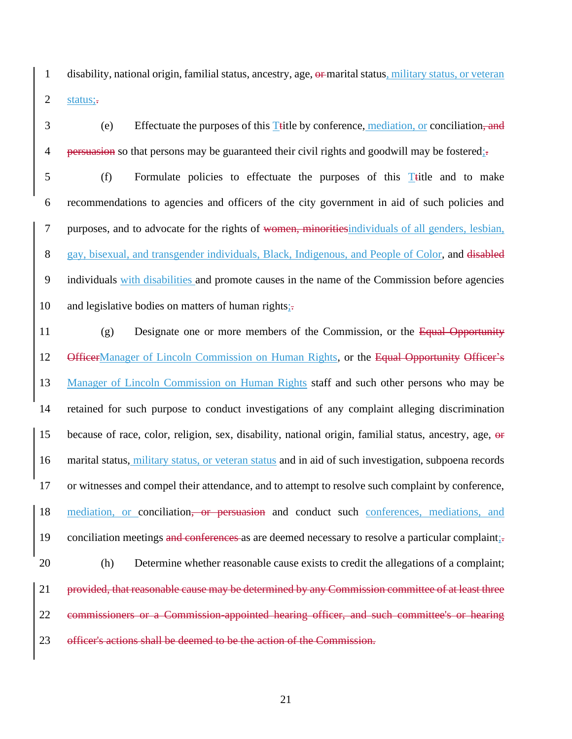1 disability, national origin, familial status, ancestry, age, or marital status, military status, or veteran 2 status;-

3 (e) Effectuate the purposes of this Ttitle by conference, mediation, or conciliation, and 4 persuasion so that persons may be guaranteed their civil rights and goodwill may be fostered;

 (f) Formulate policies to effectuate the purposes of this Ttitle and to make recommendations to agencies and officers of the city government in aid of such policies and purposes, and to advocate for the rights of women, minoritiesindividuals of all genders, lesbian, 8 gay, bisexual, and transgender individuals, Black, Indigenous, and People of Color, and disabled individuals with disabilities and promote causes in the name of the Commission before agencies 10 and legislative bodies on matters of human rights;-

11 (g) Designate one or more members of the Commission, or the Equal Opportunity 12 OfficerManager of Lincoln Commission on Human Rights, or the Equal Opportunity Officer's 13 Manager of Lincoln Commission on Human Rights staff and such other persons who may be 14 retained for such purpose to conduct investigations of any complaint alleging discrimination 15 because of race, color, religion, sex, disability, national origin, familial status, ancestry, age, or 16 marital status, military status, or veteran status and in aid of such investigation, subpoena records 17 or witnesses and compel their attendance, and to attempt to resolve such complaint by conference, 18 mediation, or conciliation, or persuasion and conduct such conferences, mediations, and 19 conciliation meetings and conferences as are deemed necessary to resolve a particular complaint; 20 (h) Determine whether reasonable cause exists to credit the allegations of a complaint; 21 provided, that reasonable cause may be determined by any Commission committee of at least three 22 commissioners or a Commission-appointed hearing officer, and such committee's or hearing 23 officer's actions shall be deemed to be the action of the Commission.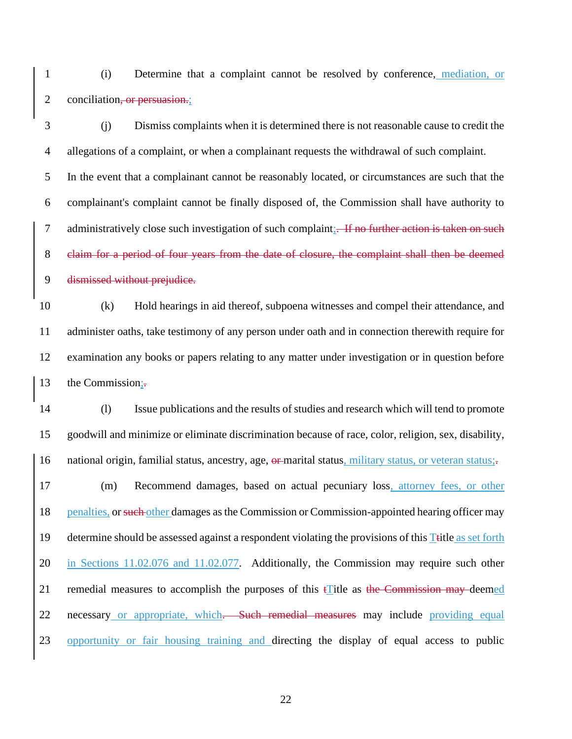(i) Determine that a complaint cannot be resolved by conference, mediation, or 2 conciliation, or persuasion.;

 (j) Dismiss complaints when it is determined there is not reasonable cause to credit the allegations of a complaint, or when a complainant requests the withdrawal of such complaint. In the event that a complainant cannot be reasonably located, or circumstances are such that the complainant's complaint cannot be finally disposed of, the Commission shall have authority to 7 administratively close such investigation of such complaint; If no further action is taken on such claim for a period of four years from the date of closure, the complaint shall then be deemed dismissed without prejudice.

 (k) Hold hearings in aid thereof, subpoena witnesses and compel their attendance, and administer oaths, take testimony of any person under oath and in connection therewith require for examination any books or papers relating to any matter under investigation or in question before 13 the Commission;

 (l) Issue publications and the results of studies and research which will tend to promote goodwill and minimize or eliminate discrimination because of race, color, religion, sex, disability, 16 national origin, familial status, ancestry, age, or marital status, military status, or veteran status;

 (m) Recommend damages, based on actual pecuniary loss, attorney fees, or other 18 penalties, or such other damages as the Commission or Commission-appointed hearing officer may 19 determine should be assessed against a respondent violating the provisions of this Title as set forth in Sections 11.02.076 and 11.02.077. Additionally, the Commission may require such other 21 remedial measures to accomplish the purposes of this  $\mathbf{f}$  title as the Commission may deemed 22 necessary or appropriate, which. Such remedial measures may include providing equal opportunity or fair housing training and directing the display of equal access to public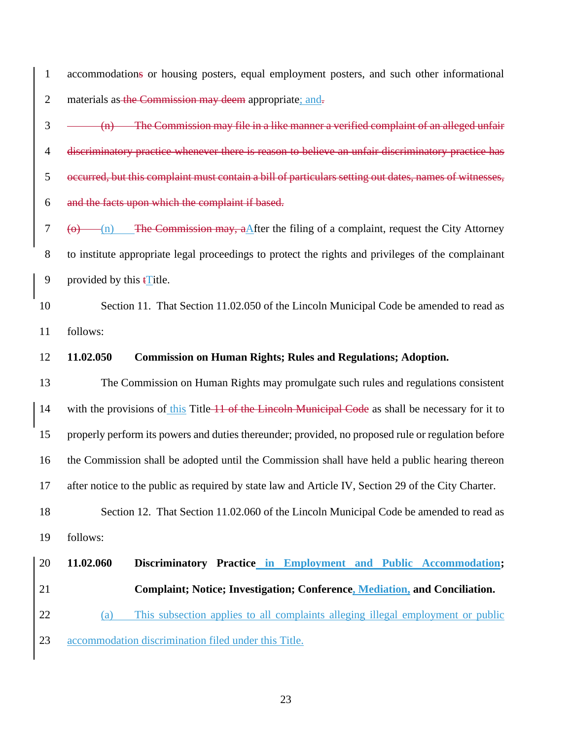accommodations or housing posters, equal employment posters, and such other informational 2 materials as the Commission may deem appropriate; and.

 $3 \left( m \right)$  The Commission may file in a like manner a verified complaint of an alleged unfair discriminatory practice whenever there is reason to believe an unfair discriminatory practice has occurred, but this complaint must contain a bill of particulars setting out dates, names of witnesses, and the facts upon which the complaint if based.

7 ( $\Theta$ ) The Commission may, a After the filing of a complaint, request the City Attorney to institute appropriate legal proceedings to protect the rights and privileges of the complainant 9 provided by this  $\mathbf{t}$  Title.

10 Section 11. That Section 11.02.050 of the Lincoln Municipal Code be amended to read as follows:

#### **11.02.050 Commission on Human Rights; Rules and Regulations; Adoption.**

 The Commission on Human Rights may promulgate such rules and regulations consistent 14 with the provisions of this Title 11 of the Lincoln Municipal Code as shall be necessary for it to properly perform its powers and duties thereunder; provided, no proposed rule or regulation before the Commission shall be adopted until the Commission shall have held a public hearing thereon after notice to the public as required by state law and Article IV, Section 29 of the City Charter. 18 Section 12. That Section 11.02.060 of the Lincoln Municipal Code be amended to read as

follows:

# **11.02.060 Discriminatory Practice in Employment and Public Accommodation; Complaint; Notice; Investigation; Conference, Mediation, and Conciliation.** (a) This subsection applies to all complaints alleging illegal employment or public accommodation discrimination filed under this Title.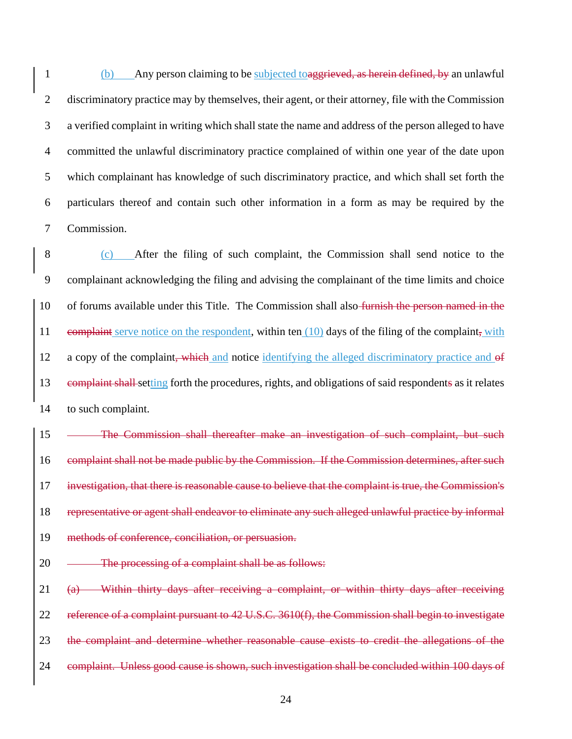(b) Any person claiming to be subjected toaggrieved, as herein defined, by an unlawful discriminatory practice may by themselves, their agent, or their attorney, file with the Commission a verified complaint in writing which shall state the name and address of the person alleged to have committed the unlawful discriminatory practice complained of within one year of the date upon which complainant has knowledge of such discriminatory practice, and which shall set forth the particulars thereof and contain such other information in a form as may be required by the Commission.

 (c) After the filing of such complaint, the Commission shall send notice to the complainant acknowledging the filing and advising the complainant of the time limits and choice 10 of forums available under this Title. The Commission shall also-furnish the person named in the 11 complaint serve notice on the respondent, within ten (10) days of the filing of the complaint, with 12 a copy of the complaint, which and notice identifying the alleged discriminatory practice and of complaint shall setting forth the procedures, rights, and obligations of said respondents as it relates to such complaint.

15 - The Commission shall thereafter make an investigation of such complaint, but such 16 complaint shall not be made public by the Commission. If the Commission determines, after such investigation, that there is reasonable cause to believe that the complaint is true, the Commission's representative or agent shall endeavor to eliminate any such alleged unlawful practice by informal methods of conference, conciliation, or persuasion.

20 — The processing of a complaint shall be as follows:

21 (a) Within thirty days after receiving a complaint, or within thirty days after receiving reference of a complaint pursuant to 42 U.S.C. 3610(f), the Commission shall begin to investigate the complaint and determine whether reasonable cause exists to credit the allegations of the 24 complaint. Unless good cause is shown, such investigation shall be concluded within 100 days of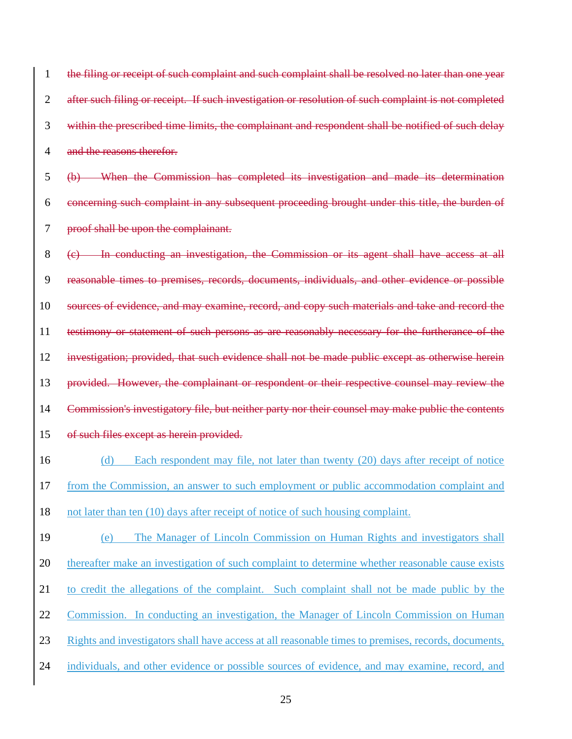| $\mathbf{1}$   | the filing or receipt of such complaint and such complaint shall be resolved no later than one year         |  |  |  |
|----------------|-------------------------------------------------------------------------------------------------------------|--|--|--|
| $\overline{2}$ | after such filing or receipt. If such investigation or resolution of such complaint is not completed        |  |  |  |
| 3              | within the prescribed time limits, the complainant and respondent shall be notified of such delay           |  |  |  |
| $\overline{4}$ | and the reasons therefor.                                                                                   |  |  |  |
| 5              | When the Commission has completed its investigation and made its determination<br>$\left(\mathbf{b}\right)$ |  |  |  |
| 6              | concerning such complaint in any subsequent proceeding brought under this title, the burden of              |  |  |  |
| 7              | proof shall be upon the complainant.                                                                        |  |  |  |
| 8              | (c) In conducting an investigation, the Commission or its agent shall have access at all                    |  |  |  |
| 9              | reasonable times to premises, records, documents, individuals, and other evidence or possible               |  |  |  |
| 10             | sources of evidence, and may examine, record, and copy such materials and take and record the               |  |  |  |
| 11             | testimony or statement of such persons as are reasonably necessary for the furtherance of the               |  |  |  |
| 12             | investigation; provided, that such evidence shall not be made public except as otherwise herein             |  |  |  |
|                | provided. However, the complainant or respondent or their respective counsel may review the                 |  |  |  |
| 13             |                                                                                                             |  |  |  |
| 14             | Commission's investigatory file, but neither party nor their counsel may make public the contents           |  |  |  |
| 15             | of such files except as herein provided.                                                                    |  |  |  |
| 16             | Each respondent may file, not later than twenty (20) days after receipt of notice<br>(d)                    |  |  |  |
| 17             | from the Commission, an answer to such employment or public accommodation complaint and                     |  |  |  |
| 18             | not later than ten (10) days after receipt of notice of such housing complaint.                             |  |  |  |
| 19             | The Manager of Lincoln Commission on Human Rights and investigators shall<br>(e)                            |  |  |  |
| 20             | thereafter make an investigation of such complaint to determine whether reasonable cause exists             |  |  |  |
| 21             | to credit the allegations of the complaint. Such complaint shall not be made public by the                  |  |  |  |
| 22             | Commission. In conducting an investigation, the Manager of Lincoln Commission on Human                      |  |  |  |
| 23             | Rights and investigators shall have access at all reasonable times to premises, records, documents,         |  |  |  |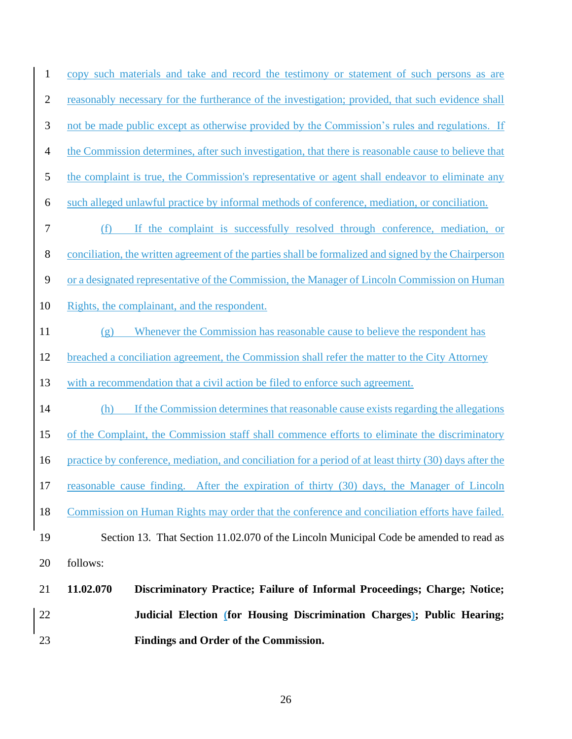| $\mathbf{1}$     | copy such materials and take and record the testimony or statement of such persons as are               |  |  |  |
|------------------|---------------------------------------------------------------------------------------------------------|--|--|--|
| $\overline{2}$   | reasonably necessary for the furtherance of the investigation; provided, that such evidence shall       |  |  |  |
| 3                | not be made public except as otherwise provided by the Commission's rules and regulations. If           |  |  |  |
| $\overline{4}$   | the Commission determines, after such investigation, that there is reasonable cause to believe that     |  |  |  |
| 5                | the complaint is true, the Commission's representative or agent shall endeavor to eliminate any         |  |  |  |
| 6                | such alleged unlawful practice by informal methods of conference, mediation, or conciliation.           |  |  |  |
| $\boldsymbol{7}$ | (f) If the complaint is successfully resolved through conference, mediation, or                         |  |  |  |
| 8                | conciliation, the written agreement of the parties shall be formalized and signed by the Chairperson    |  |  |  |
| $\mathbf{9}$     | or a designated representative of the Commission, the Manager of Lincoln Commission on Human            |  |  |  |
| 10               | Rights, the complainant, and the respondent.                                                            |  |  |  |
| 11               | Whenever the Commission has reasonable cause to believe the respondent has<br>(g)                       |  |  |  |
| 12               | breached a conciliation agreement, the Commission shall refer the matter to the City Attorney           |  |  |  |
| 13               | with a recommendation that a civil action be filed to enforce such agreement.                           |  |  |  |
| 14               | If the Commission determines that reasonable cause exists regarding the allegations<br>(h)              |  |  |  |
| 15               | of the Complaint, the Commission staff shall commence efforts to eliminate the discriminatory           |  |  |  |
| 16               | practice by conference, mediation, and conciliation for a period of at least thirty (30) days after the |  |  |  |
| 17               | reasonable cause finding. After the expiration of thirty (30) days, the Manager of Lincoln              |  |  |  |
| 18               | Commission on Human Rights may order that the conference and conciliation efforts have failed.          |  |  |  |
| 19               | Section 13. That Section 11.02.070 of the Lincoln Municipal Code be amended to read as                  |  |  |  |
| 20               | follows:                                                                                                |  |  |  |
| 21               | 11.02.070<br>Discriminatory Practice; Failure of Informal Proceedings; Charge; Notice;                  |  |  |  |
| 22               | Judicial Election (for Housing Discrimination Charges); Public Hearing;                                 |  |  |  |
| 23               | Findings and Order of the Commission.                                                                   |  |  |  |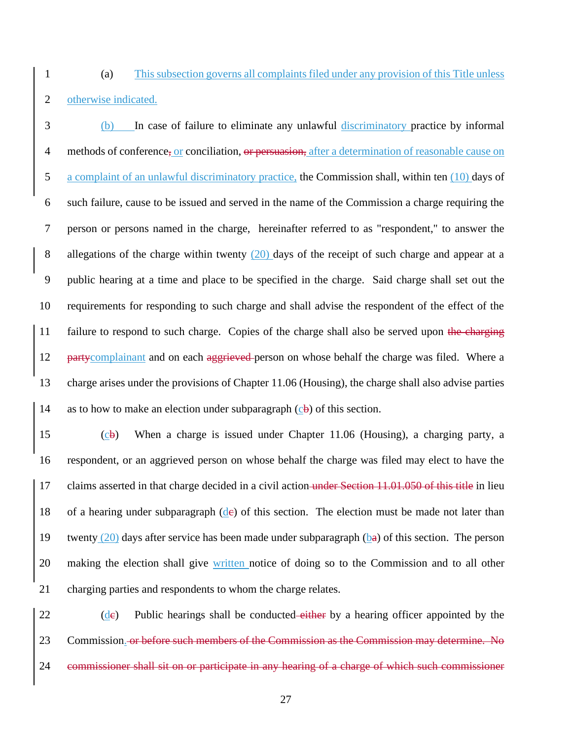(a) This subsection governs all complaints filed under any provision of this Title unless otherwise indicated.

 (b) In case of failure to eliminate any unlawful discriminatory practice by informal 4 methods of conference, or conciliation, or persuasion, after a determination of reasonable cause on a complaint of an unlawful discriminatory practice, the Commission shall, within ten (10) days of such failure, cause to be issued and served in the name of the Commission a charge requiring the person or persons named in the charge, hereinafter referred to as "respondent," to answer the 8 allegations of the charge within twenty (20) days of the receipt of such charge and appear at a public hearing at a time and place to be specified in the charge. Said charge shall set out the requirements for responding to such charge and shall advise the respondent of the effect of the 11 failure to respond to such charge. Copies of the charge shall also be served upon the charging 12 party complainant and on each aggrieved person on whose behalf the charge was filed. Where a charge arises under the provisions of Chapter 11.06 (Housing), the charge shall also advise parties 14 as to how to make an election under subparagraph  $(c\mathbf{b})$  of this section.

 (cb) When a charge is issued under Chapter 11.06 (Housing), a charging party, a respondent, or an aggrieved person on whose behalf the charge was filed may elect to have the 17 claims asserted in that charge decided in a civil action under Section 11.01.050 of this title in lieu 18 of a hearing under subparagraph  $(d\epsilon)$  of this section. The election must be made not later than 19 twenty (20) days after service has been made under subparagraph ( $b\theta$ ) of this section. The person 20 making the election shall give written notice of doing so to the Commission and to all other charging parties and respondents to whom the charge relates.

 (de) Public hearings shall be conducted either by a hearing officer appointed by the Commission. or before such members of the Commission as the Commission may determine. No commissioner shall sit on or participate in any hearing of a charge of which such commissioner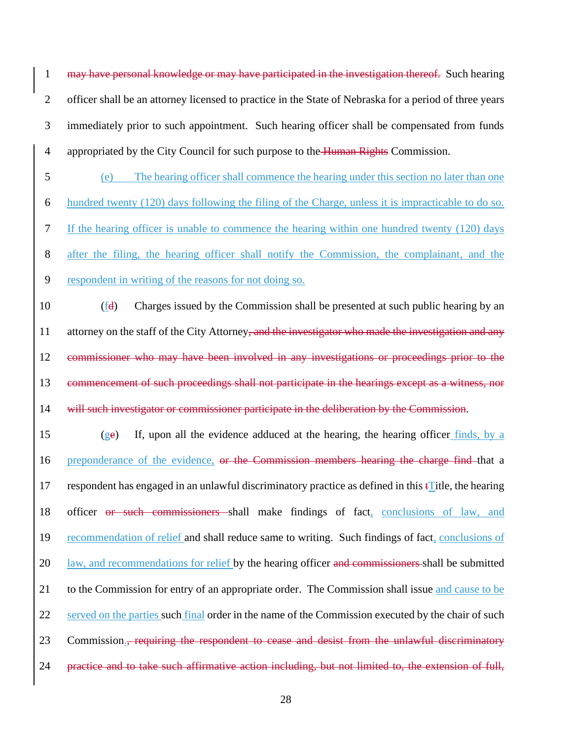may have personal knowledge or may have participated in the investigation thereof. Such hearing officer shall be an attorney licensed to practice in the State of Nebraska for a period of three years immediately prior to such appointment. Such hearing officer shall be compensated from funds 4 appropriated by the City Council for such purpose to the Human Rights Commission.

 (e) The hearing officer shall commence the hearing under this section no later than one hundred twenty (120) days following the filing of the Charge, unless it is impracticable to do so. If the hearing officer is unable to commence the hearing within one hundred twenty (120) days after the filing, the hearing officer shall notify the Commission, the complainant, and the respondent in writing of the reasons for not doing so.

 (fd) Charges issued by the Commission shall be presented at such public hearing by an 11 attorney on the staff of the City Attorney, and the investigator who made the investigation and any commissioner who may have been involved in any investigations or proceedings prior to the commencement of such proceedings shall not participate in the hearings except as a witness, nor 14 will such investigator or commissioner participate in the deliberation by the Commission.

 (ge) If, upon all the evidence adduced at the hearing, the hearing officer finds, by a 16 preponderance of the evidence, or the Commission members hearing the charge find that a 17 respondent has engaged in an unlawful discriminatory practice as defined in this  $\mathbf{f}$  Title, the hearing officer or such commissioners shall make findings of fact, conclusions of law, and recommendation of relief and shall reduce same to writing. Such findings of fact, conclusions of 20 law, and recommendations for relief by the hearing officer and commissioners shall be submitted to the Commission for entry of an appropriate order. The Commission shall issue and cause to be 22 served on the parties such final order in the name of the Commission executed by the chair of such 23 Commission., requiring the respondent to cease and desist from the unlawful discriminatory practice and to take such affirmative action including, but not limited to, the extension of full,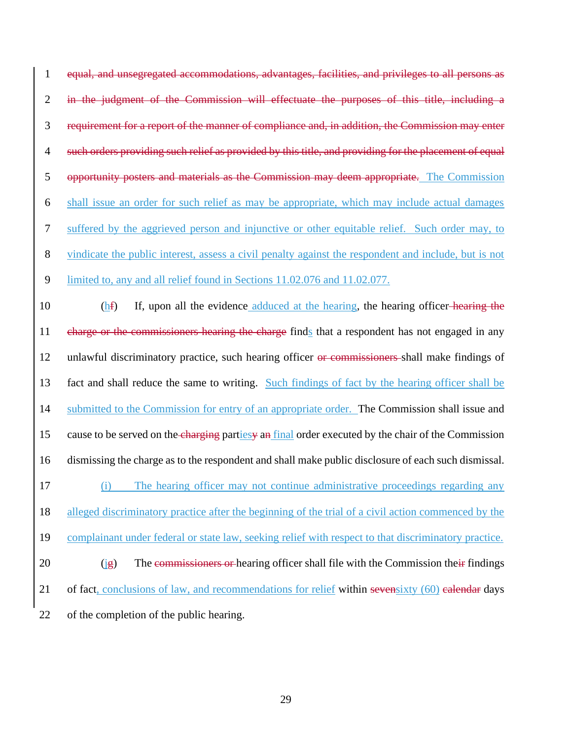equal, and unsegregated accommodations, advantages, facilities, and privileges to all persons as in the judgment of the Commission will effectuate the purposes of this title, including a requirement for a report of the manner of compliance and, in addition, the Commission may enter 4 such orders providing such relief as provided by this title, and providing for the placement of equal opportunity posters and materials as the Commission may deem appropriate. The Commission shall issue an order for such relief as may be appropriate, which may include actual damages suffered by the aggrieved person and injunctive or other equitable relief. Such order may, to vindicate the public interest, assess a civil penalty against the respondent and include, but is not limited to, any and all relief found in Sections 11.02.076 and 11.02.077. 10 (hf) If, upon all the evidence adduced at the hearing, the hearing officer-hearing the 11 charge or the commissioners hearing the charge finds that a respondent has not engaged in any unlawful discriminatory practice, such hearing officer or commissioners shall make findings of fact and shall reduce the same to writing. Such findings of fact by the hearing officer shall be submitted to the Commission for entry of an appropriate order. The Commission shall issue and 15 cause to be served on the charging partiesy an final order executed by the chair of the Commission dismissing the charge as to the respondent and shall make public disclosure of each such dismissal. (i) The hearing officer may not continue administrative proceedings regarding any alleged discriminatory practice after the beginning of the trial of a civil action commenced by the complainant under federal or state law, seeking relief with respect to that discriminatory practice. 20 (ig) The commissioners or hearing officer shall file with the Commission their findings 21 of fact, conclusions of law, and recommendations for relief within seven sixty (60) calendar days of the completion of the public hearing.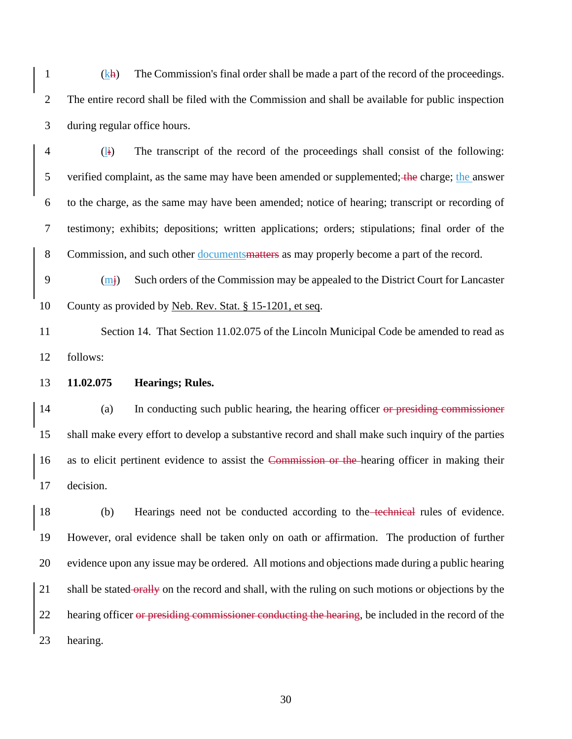1  $(k<sub>H</sub>)$  The Commission's final order shall be made a part of the record of the proceedings. The entire record shall be filed with the Commission and shall be available for public inspection during regular office hours.

 (li) The transcript of the record of the proceedings shall consist of the following: 5 verified complaint, as the same may have been amended or supplemented; the charge; the answer to the charge, as the same may have been amended; notice of hearing; transcript or recording of testimony; exhibits; depositions; written applications; orders; stipulations; final order of the Commission, and such other documentsmatters as may properly become a part of the record.

 (mj) Such orders of the Commission may be appealed to the District Court for Lancaster County as provided by Neb. Rev. Stat. § 15-1201, et seq.

11 Section 14. That Section 11.02.075 of the Lincoln Municipal Code be amended to read as follows:

**11.02.075 Hearings; Rules.**

 (a) In conducting such public hearing, the hearing officer or presiding commissioner shall make every effort to develop a substantive record and shall make such inquiry of the parties 16 as to elicit pertinent evidence to assist the Commission or the hearing officer in making their decision.

 (b) Hearings need not be conducted according to the technical rules of evidence. However, oral evidence shall be taken only on oath or affirmation. The production of further evidence upon any issue may be ordered. All motions and objections made during a public hearing 21 shall be stated orally on the record and shall, with the ruling on such motions or objections by the 22 hearing officer or presiding commissioner conducting the hearing, be included in the record of the hearing.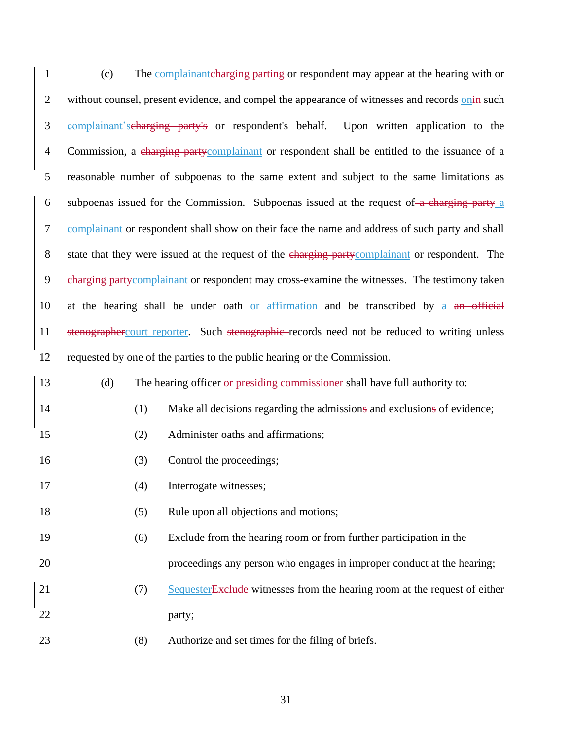| $\mathbf{1}$   | (c)                                                                                             | The complainant charging parting or respondent may appear at the hearing with or                |  |  |
|----------------|-------------------------------------------------------------------------------------------------|-------------------------------------------------------------------------------------------------|--|--|
| $\mathbf{2}$   |                                                                                                 | without counsel, present evidence, and compel the appearance of witnesses and records onin such |  |  |
| 3              |                                                                                                 | complainant's charging party's or respondent's behalf.<br>Upon written application to the       |  |  |
| $\overline{4}$ |                                                                                                 | Commission, a charging partycomplainant or respondent shall be entitled to the issuance of a    |  |  |
| $\mathfrak{S}$ |                                                                                                 | reasonable number of subpoenas to the same extent and subject to the same limitations as        |  |  |
| 6              | subpoenas issued for the Commission. Subpoenas issued at the request of a charging party a      |                                                                                                 |  |  |
| $\tau$         | complainant or respondent shall show on their face the name and address of such party and shall |                                                                                                 |  |  |
| $8\,$          | state that they were issued at the request of the charging partycomplainant or respondent. The  |                                                                                                 |  |  |
| 9              | charging partycomplainant or respondent may cross-examine the witnesses. The testimony taken    |                                                                                                 |  |  |
| 10             |                                                                                                 | at the hearing shall be under oath or affirmation and be transcribed by a an official           |  |  |
| 11             | stenographercourt reporter. Such stenographic-records need not be reduced to writing unless     |                                                                                                 |  |  |
| 12             |                                                                                                 | requested by one of the parties to the public hearing or the Commission.                        |  |  |
| 13             | (d)                                                                                             | The hearing officer or presiding commissioner shall have full authority to:                     |  |  |
| 14             | (1)                                                                                             | Make all decisions regarding the admissions and exclusions of evidence;                         |  |  |
| 15             | (2)                                                                                             | Administer oaths and affirmations;                                                              |  |  |
| 16             | (3)                                                                                             | Control the proceedings;                                                                        |  |  |
| 17             | (4)                                                                                             | Interrogate witnesses;                                                                          |  |  |
| 18             | (5)                                                                                             | Rule upon all objections and motions;                                                           |  |  |
| 19             | (6)                                                                                             | Exclude from the hearing room or from further participation in the                              |  |  |
| 20             |                                                                                                 | proceedings any person who engages in improper conduct at the hearing;                          |  |  |
| 21             | (7)                                                                                             | Sequester Exclude witnesses from the hearing room at the request of either                      |  |  |
| 22             |                                                                                                 | party;                                                                                          |  |  |
| 23             | (8)                                                                                             | Authorize and set times for the filing of briefs.                                               |  |  |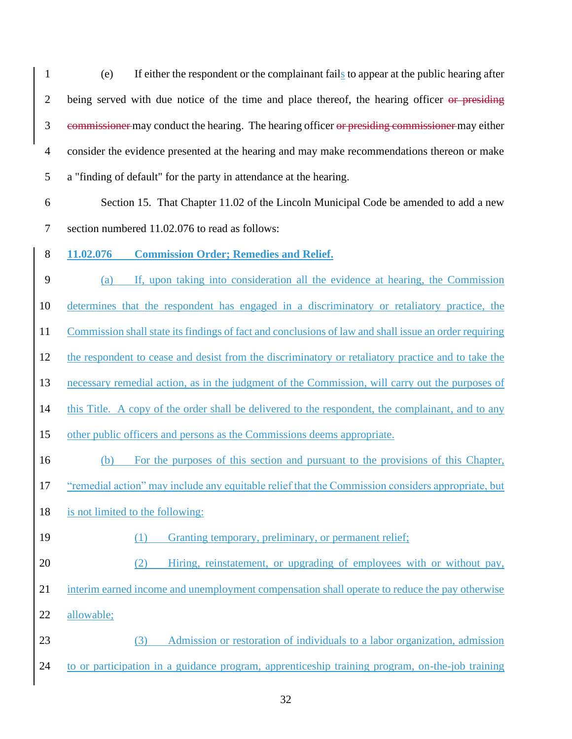(e) If either the respondent or the complainant fails to appear at the public hearing after 2 being served with due notice of the time and place thereof, the hearing officer or presiding 3 commissioner may conduct the hearing. The hearing officer or presiding commissioner may either consider the evidence presented at the hearing and may make recommendations thereon or make a "finding of default" for the party in attendance at the hearing.

 Section 15. That Chapter 11.02 of the Lincoln Municipal Code be amended to add a new section numbered 11.02.076 to read as follows:

**11.02.076 Commission Order; Remedies and Relief.**

 (a) If, upon taking into consideration all the evidence at hearing, the Commission determines that the respondent has engaged in a discriminatory or retaliatory practice, the Commission shall state its findings of fact and conclusions of law and shall issue an order requiring the respondent to cease and desist from the discriminatory or retaliatory practice and to take the necessary remedial action, as in the judgment of the Commission, will carry out the purposes of this Title. A copy of the order shall be delivered to the respondent, the complainant, and to any other public officers and persons as the Commissions deems appropriate.

(b) For the purposes of this section and pursuant to the provisions of this Chapter,

"remedial action" may include any equitable relief that the Commission considers appropriate, but

is not limited to the following:

(1) Granting temporary, preliminary, or permanent relief;

 (2) Hiring, reinstatement, or upgrading of employees with or without pay, interim earned income and unemployment compensation shall operate to reduce the pay otherwise allowable;

 (3) Admission or restoration of individuals to a labor organization, admission to or participation in a guidance program, apprenticeship training program, on-the-job training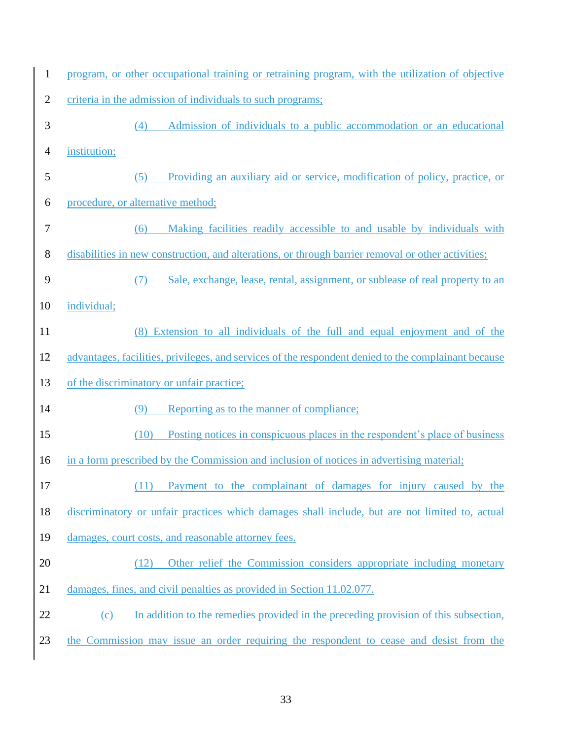| $\mathbf{1}$   | program, or other occupational training or retraining program, with the utilization of objective     |  |  |  |  |  |
|----------------|------------------------------------------------------------------------------------------------------|--|--|--|--|--|
| $\overline{2}$ | criteria in the admission of individuals to such programs;                                           |  |  |  |  |  |
| $\mathfrak{Z}$ | Admission of individuals to a public accommodation or an educational<br>(4)                          |  |  |  |  |  |
| 4              | institution;                                                                                         |  |  |  |  |  |
| 5              | Providing an auxiliary aid or service, modification of policy, practice, or<br>(5)                   |  |  |  |  |  |
| 6              | procedure, or alternative method;                                                                    |  |  |  |  |  |
| 7              | Making facilities readily accessible to and usable by individuals with<br>(6)                        |  |  |  |  |  |
| $8\,$          | disabilities in new construction, and alterations, or through barrier removal or other activities;   |  |  |  |  |  |
| 9              | Sale, exchange, lease, rental, assignment, or sublease of real property to an                        |  |  |  |  |  |
| 10             | individual;                                                                                          |  |  |  |  |  |
| 11             | (8) Extension to all individuals of the full and equal enjoyment and of the                          |  |  |  |  |  |
| 12             | advantages, facilities, privileges, and services of the respondent denied to the complainant because |  |  |  |  |  |
| 13             | of the discriminatory or unfair practice;                                                            |  |  |  |  |  |
| 14             | Reporting as to the manner of compliance;<br>(9)                                                     |  |  |  |  |  |
| 15             | Posting notices in conspicuous places in the respondent's place of business<br>(10)                  |  |  |  |  |  |
| 16             | in a form prescribed by the Commission and inclusion of notices in advertising material;             |  |  |  |  |  |
| 17             | Payment to the complainant of damages for injury caused by the                                       |  |  |  |  |  |
| 18             | discriminatory or unfair practices which damages shall include, but are not limited to, actual       |  |  |  |  |  |
| 19             | damages, court costs, and reasonable attorney fees.                                                  |  |  |  |  |  |
| 20             | Other relief the Commission considers appropriate including monetary<br>(12)                         |  |  |  |  |  |
| 21             | damages, fines, and civil penalties as provided in Section 11.02.077.                                |  |  |  |  |  |
| 22             | In addition to the remedies provided in the preceding provision of this subsection,<br>(c)           |  |  |  |  |  |
| 23             | the Commission may issue an order requiring the respondent to cease and desist from the              |  |  |  |  |  |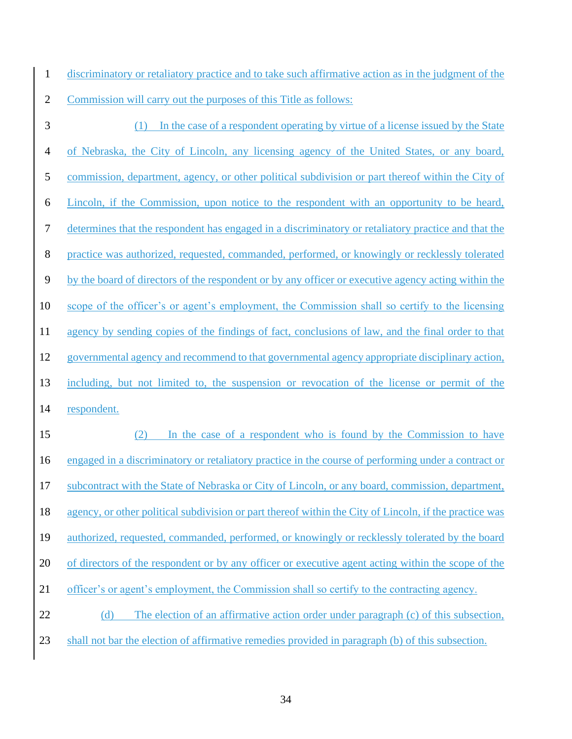discriminatory or retaliatory practice and to take such affirmative action as in the judgment of the Commission will carry out the purposes of this Title as follows:

 (1) In the case of a respondent operating by virtue of a license issued by the State of Nebraska, the City of Lincoln, any licensing agency of the United States, or any board, commission, department, agency, or other political subdivision or part thereof within the City of Lincoln, if the Commission, upon notice to the respondent with an opportunity to be heard, determines that the respondent has engaged in a discriminatory or retaliatory practice and that the practice was authorized, requested, commanded, performed, or knowingly or recklessly tolerated by the board of directors of the respondent or by any officer or executive agency acting within the scope of the officer's or agent's employment, the Commission shall so certify to the licensing agency by sending copies of the findings of fact, conclusions of law, and the final order to that governmental agency and recommend to that governmental agency appropriate disciplinary action, including, but not limited to, the suspension or revocation of the license or permit of the respondent. (2) In the case of a respondent who is found by the Commission to have engaged in a discriminatory or retaliatory practice in the course of performing under a contract or subcontract with the State of Nebraska or City of Lincoln, or any board, commission, department, agency, or other political subdivision or part thereof within the City of Lincoln, if the practice was authorized, requested, commanded, performed, or knowingly or recklessly tolerated by the board of directors of the respondent or by any officer or executive agent acting within the scope of the officer's or agent's employment, the Commission shall so certify to the contracting agency. 22 (d) The election of an affirmative action order under paragraph (c) of this subsection, shall not bar the election of affirmative remedies provided in paragraph (b) of this subsection.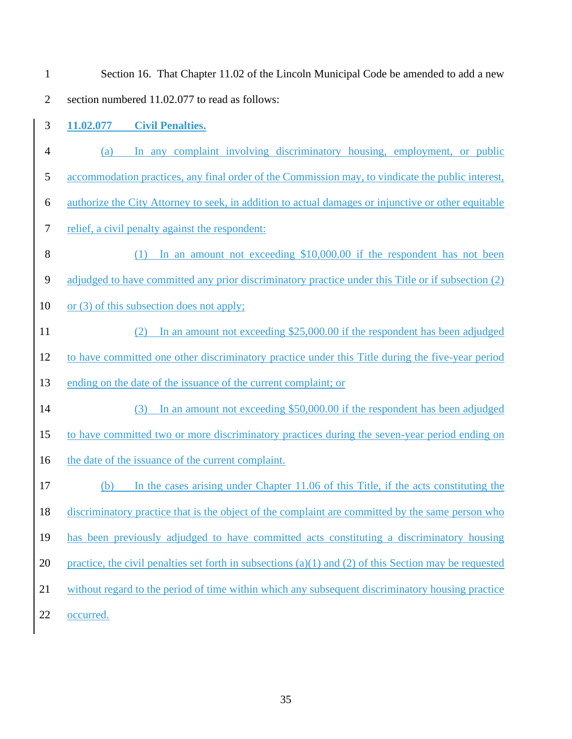| $\mathbf{1}$   | Section 16. That Chapter 11.02 of the Lincoln Municipal Code be amended to add a new                   |
|----------------|--------------------------------------------------------------------------------------------------------|
| $\overline{2}$ | section numbered 11.02.077 to read as follows:                                                         |
| 3              | 11.02.077<br><b>Civil Penalties.</b>                                                                   |
| $\overline{4}$ | In any complaint involving discriminatory housing, employment, or public<br>(a)                        |
| 5              | accommodation practices, any final order of the Commission may, to vindicate the public interest,      |
| 6              | authorize the City Attorney to seek, in addition to actual damages or injunctive or other equitable    |
| 7              | relief, a civil penalty against the respondent:                                                        |
| 8              | In an amount not exceeding \$10,000.00 if the respondent has not been<br>(1)                           |
| 9              | adjudged to have committed any prior discriminatory practice under this Title or if subsection (2)     |
| 10             | or (3) of this subsection does not apply;                                                              |
| 11             | In an amount not exceeding \$25,000.00 if the respondent has been adjudged                             |
| 12             | to have committed one other discriminatory practice under this Title during the five-year period       |
| 13             | ending on the date of the issuance of the current complaint; or                                        |
| 14             | In an amount not exceeding \$50,000.00 if the respondent has been adjudged<br>(3)                      |
| 15             | to have committed two or more discriminatory practices during the seven-year period ending on          |
| 16             | the date of the issuance of the current complaint.                                                     |
| 17             | (b)<br>In the cases arising under Chapter 11.06 of this Title, if the acts constituting the            |
| 18             | discriminatory practice that is the object of the complaint are committed by the same person who       |
| 19             | has been previously adjudged to have committed acts constituting a discriminatory housing              |
| 20             | practice, the civil penalties set forth in subsections (a)(1) and (2) of this Section may be requested |
| 21             | without regard to the period of time within which any subsequent discriminatory housing practice       |
| 22             | occurred.                                                                                              |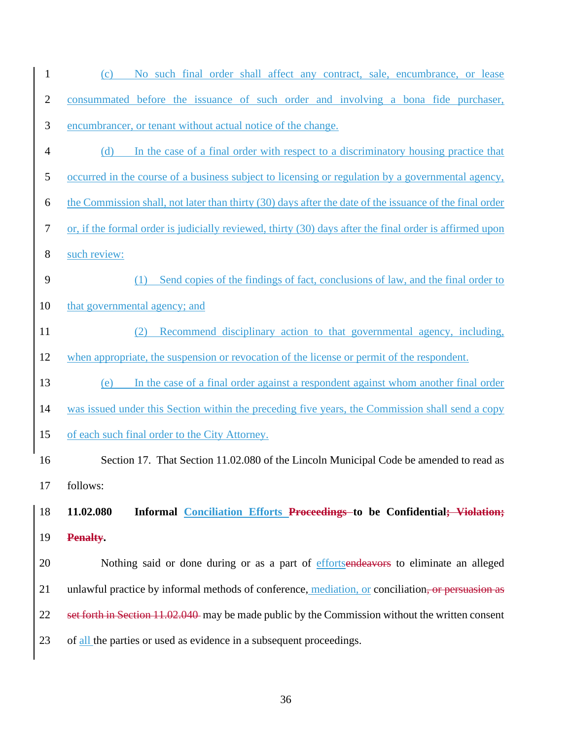| $\mathbf{1}$   | No such final order shall affect any contract, sale, encumbrance, or lease<br>(c)                       |  |  |  |  |  |
|----------------|---------------------------------------------------------------------------------------------------------|--|--|--|--|--|
| $\overline{2}$ | consummated before the issuance of such order and involving a bona fide purchaser,                      |  |  |  |  |  |
| 3              | encumbrancer, or tenant without actual notice of the change.                                            |  |  |  |  |  |
| $\overline{4}$ | (d) In the case of a final order with respect to a discriminatory housing practice that                 |  |  |  |  |  |
| 5              | occurred in the course of a business subject to licensing or regulation by a governmental agency,       |  |  |  |  |  |
| 6              | the Commission shall, not later than thirty (30) days after the date of the issuance of the final order |  |  |  |  |  |
| $\tau$         | or, if the formal order is judicially reviewed, thirty (30) days after the final order is affirmed upon |  |  |  |  |  |
| 8              | such review:                                                                                            |  |  |  |  |  |
| 9              | Send copies of the findings of fact, conclusions of law, and the final order to<br>(1)                  |  |  |  |  |  |
| 10             | that governmental agency; and                                                                           |  |  |  |  |  |
| 11             | Recommend disciplinary action to that governmental agency, including,<br>(2)                            |  |  |  |  |  |
| 12             | when appropriate, the suspension or revocation of the license or permit of the respondent.              |  |  |  |  |  |
| 13             | In the case of a final order against a respondent against whom another final order<br>(e)               |  |  |  |  |  |
| 14             | was issued under this Section within the preceding five years, the Commission shall send a copy         |  |  |  |  |  |
| 15             | of each such final order to the City Attorney.                                                          |  |  |  |  |  |
| 16             | Section 17. That Section 11.02.080 of the Lincoln Municipal Code be amended to read as                  |  |  |  |  |  |
| 17             | follows:                                                                                                |  |  |  |  |  |
| 18             | 11.02.080<br>Informal Conciliation Efforts Proceedings to be Confidential; Violation;                   |  |  |  |  |  |
| 19             | Penalty.                                                                                                |  |  |  |  |  |
| 20             | Nothing said or done during or as a part of effortsendeavors to eliminate an alleged                    |  |  |  |  |  |
| 21             | unlawful practice by informal methods of conference, mediation, or conciliation, or persuasion as       |  |  |  |  |  |
| 22             | set forth in Section 11.02.040 may be made public by the Commission without the written consent         |  |  |  |  |  |
| 23             | of all the parties or used as evidence in a subsequent proceedings.                                     |  |  |  |  |  |
|                |                                                                                                         |  |  |  |  |  |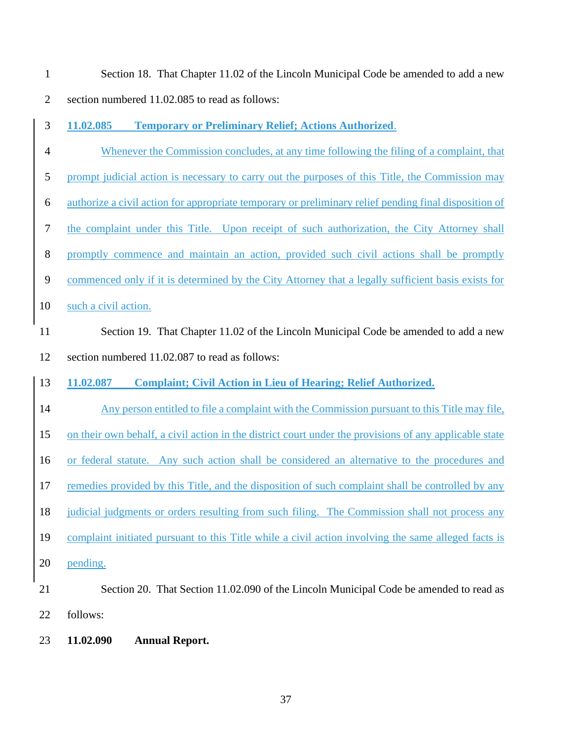| $\mathbf{1}$     | Section 18. That Chapter 11.02 of the Lincoln Municipal Code be amended to add a new                   |
|------------------|--------------------------------------------------------------------------------------------------------|
| $\mathbf{2}$     | section numbered 11.02.085 to read as follows:                                                         |
| 3                | <b>Temporary or Preliminary Relief; Actions Authorized.</b><br>11.02.085                               |
| $\overline{4}$   | Whenever the Commission concludes, at any time following the filing of a complaint, that               |
| $\mathfrak s$    | prompt judicial action is necessary to carry out the purposes of this Title, the Commission may        |
| 6                | authorize a civil action for appropriate temporary or preliminary relief pending final disposition of  |
| $\boldsymbol{7}$ | the complaint under this Title. Upon receipt of such authorization, the City Attorney shall            |
| $8\,$            | promptly commence and maintain an action, provided such civil actions shall be promptly                |
| $\overline{9}$   | commenced only if it is determined by the City Attorney that a legally sufficient basis exists for     |
| 10               | such a civil action.                                                                                   |
| 11               | Section 19. That Chapter 11.02 of the Lincoln Municipal Code be amended to add a new                   |
| 12               | section numbered 11.02.087 to read as follows:                                                         |
| 13               | 11.02.087<br><b>Complaint; Civil Action in Lieu of Hearing; Relief Authorized.</b>                     |
| 14               | Any person entitled to file a complaint with the Commission pursuant to this Title may file,           |
| 15               | on their own behalf, a civil action in the district court under the provisions of any applicable state |
| 16               | or federal statute. Any such action shall be considered an alternative to the procedures and           |
| 17               | remedies provided by this Title, and the disposition of such complaint shall be controlled by any      |
| 18               | judicial judgments or orders resulting from such filing. The Commission shall not process any          |
| 19               | complaint initiated pursuant to this Title while a civil action involving the same alleged facts is    |
| 20               | pending.                                                                                               |
| 21               | Section 20. That Section 11.02.090 of the Lincoln Municipal Code be amended to read as                 |
| 22               | follows:                                                                                               |
| 23               | 11.02.090<br><b>Annual Report.</b>                                                                     |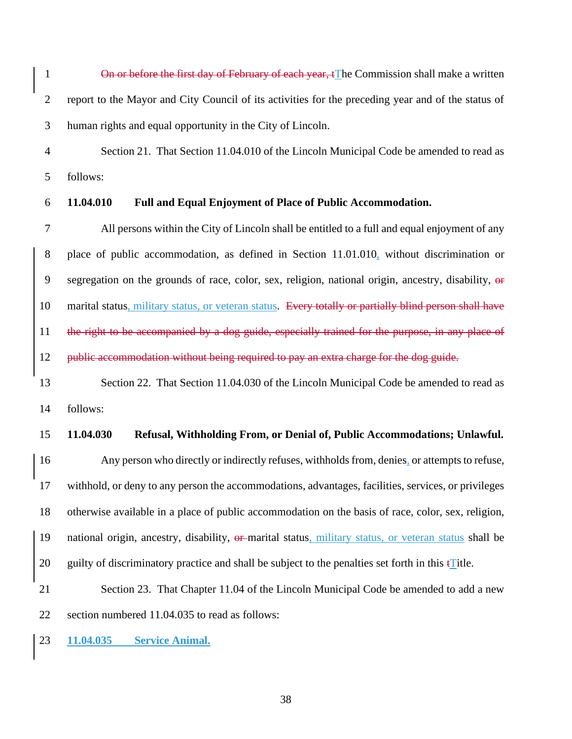1 On or before the first day of February of each year, tThe Commission shall make a written report to the Mayor and City Council of its activities for the preceding year and of the status of human rights and equal opportunity in the City of Lincoln.

 Section 21. That Section 11.04.010 of the Lincoln Municipal Code be amended to read as follows:

#### **11.04.010 Full and Equal Enjoyment of Place of Public Accommodation.**

 All persons within the City of Lincoln shall be entitled to a full and equal enjoyment of any place of public accommodation, as defined in Section 11.01.010, without discrimination or 9 segregation on the grounds of race, color, sex, religion, national origin, ancestry, disability, or 10 marital status, military status, or veteran status. Every totally or partially blind person shall have 11 the right to be accompanied by a dog guide, especially trained for the purpose, in any place of 12 public accommodation without being required to pay an extra charge for the dog guide.

13 Section 22. That Section 11.04.030 of the Lincoln Municipal Code be amended to read as follows:

#### **11.04.030 Refusal, Withholding From, or Denial of, Public Accommodations; Unlawful.**

 Any person who directly or indirectly refuses, withholds from, denies, or attempts to refuse, withhold, or deny to any person the accommodations, advantages, facilities, services, or privileges otherwise available in a place of public accommodation on the basis of race, color, sex, religion, 19 national origin, ancestry, disability,  $\theta$  marital status, military status, or veteran status shall be 20 guilty of discriminatory practice and shall be subject to the penalties set forth in this  $\mathbf{t}$  Title.

 Section 23. That Chapter 11.04 of the Lincoln Municipal Code be amended to add a new section numbered 11.04.035 to read as follows:

**11.04.035 Service Animal.**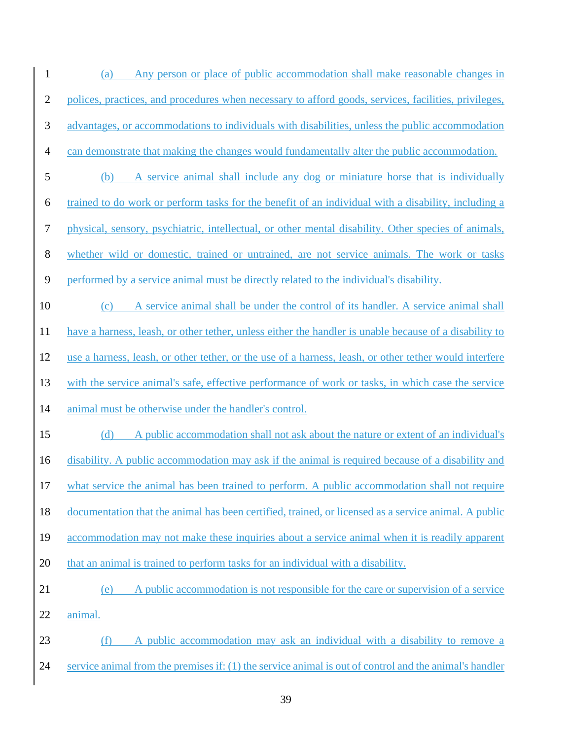- (a) Any person or place of public accommodation shall make reasonable changes in polices, practices, and procedures when necessary to afford goods, services, facilities, privileges, advantages, or accommodations to individuals with disabilities, unless the public accommodation can demonstrate that making the changes would fundamentally alter the public accommodation. (b) A service animal shall include any dog or miniature horse that is individually trained to do work or perform tasks for the benefit of an individual with a disability, including a physical, sensory, psychiatric, intellectual, or other mental disability. Other species of animals, whether wild or domestic, trained or untrained, are not service animals. The work or tasks performed by a service animal must be directly related to the individual's disability. 10 (c) A service animal shall be under the control of its handler. A service animal shall have a harness, leash, or other tether, unless either the handler is unable because of a disability to use a harness, leash, or other tether, or the use of a harness, leash, or other tether would interfere with the service animal's safe, effective performance of work or tasks, in which case the service animal must be otherwise under the handler's control. (d) A public accommodation shall not ask about the nature or extent of an individual's disability. A public accommodation may ask if the animal is required because of a disability and what service the animal has been trained to perform. A public accommodation shall not require documentation that the animal has been certified, trained, or licensed as a service animal. A public 19 accommodation may not make these inquiries about a service animal when it is readily apparent that an animal is trained to perform tasks for an individual with a disability. (e) A public accommodation is not responsible for the care or supervision of a service animal. (f) A public accommodation may ask an individual with a disability to remove a
- service animal from the premises if: (1) the service animal is out of control and the animal's handler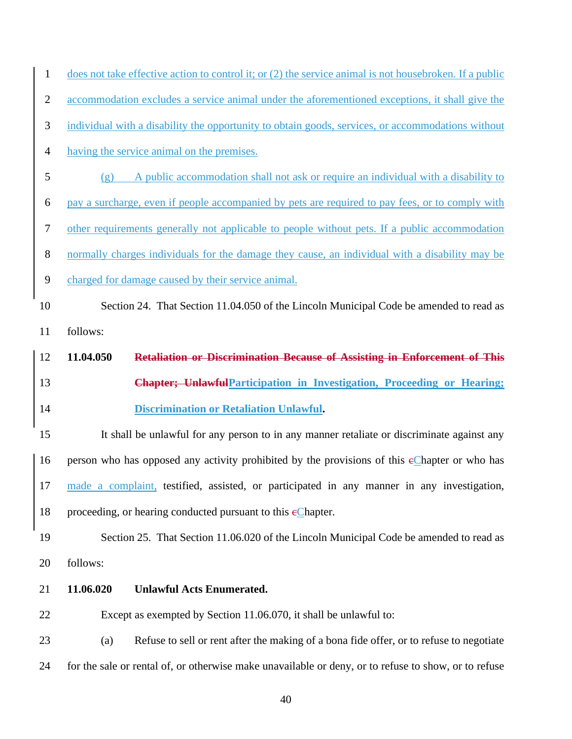| $\mathbf{1}$     | does not take effective action to control it; or (2) the service animal is not housebroken. If a public |  |  |  |  |
|------------------|---------------------------------------------------------------------------------------------------------|--|--|--|--|
| $\overline{2}$   | accommodation excludes a service animal under the aforementioned exceptions, it shall give the          |  |  |  |  |
| $\mathfrak{Z}$   | individual with a disability the opportunity to obtain goods, services, or accommodations without       |  |  |  |  |
| $\overline{4}$   | having the service animal on the premises.                                                              |  |  |  |  |
| 5                | A public accommodation shall not ask or require an individual with a disability to<br>(g)               |  |  |  |  |
| 6                | pay a surcharge, even if people accompanied by pets are required to pay fees, or to comply with         |  |  |  |  |
| $\boldsymbol{7}$ | other requirements generally not applicable to people without pets. If a public accommodation           |  |  |  |  |
| $8\,$            | normally charges individuals for the damage they cause, an individual with a disability may be          |  |  |  |  |
| $\mathbf{9}$     | charged for damage caused by their service animal.                                                      |  |  |  |  |
| 10               | Section 24. That Section 11.04.050 of the Lincoln Municipal Code be amended to read as                  |  |  |  |  |
| 11               | follows:                                                                                                |  |  |  |  |
| 12               | Retaliation or Discrimination Because of Assisting in Enforcement of This<br>11.04.050                  |  |  |  |  |
|                  |                                                                                                         |  |  |  |  |
| 13               | <b>Chapter; UnlawfulParticipation in Investigation, Proceeding or Hearing;</b>                          |  |  |  |  |
| 14               | <b>Discrimination or Retaliation Unlawful.</b>                                                          |  |  |  |  |
| 15               | It shall be unlawful for any person to in any manner retaliate or discriminate against any              |  |  |  |  |
| 16               | person who has opposed any activity prohibited by the provisions of this eChapter or who has            |  |  |  |  |
| 17               | made a complaint, testified, assisted, or participated in any manner in any investigation,              |  |  |  |  |
| 18               | proceeding, or hearing conducted pursuant to this $\epsilon$ Chapter.                                   |  |  |  |  |
| 19               | Section 25. That Section 11.06.020 of the Lincoln Municipal Code be amended to read as                  |  |  |  |  |
| 20               | follows:                                                                                                |  |  |  |  |
| 21               | 11.06.020<br><b>Unlawful Acts Enumerated.</b>                                                           |  |  |  |  |
| 22               | Except as exempted by Section 11.06.070, it shall be unlawful to:                                       |  |  |  |  |
| 23               | Refuse to sell or rent after the making of a bona fide offer, or to refuse to negotiate<br>(a)          |  |  |  |  |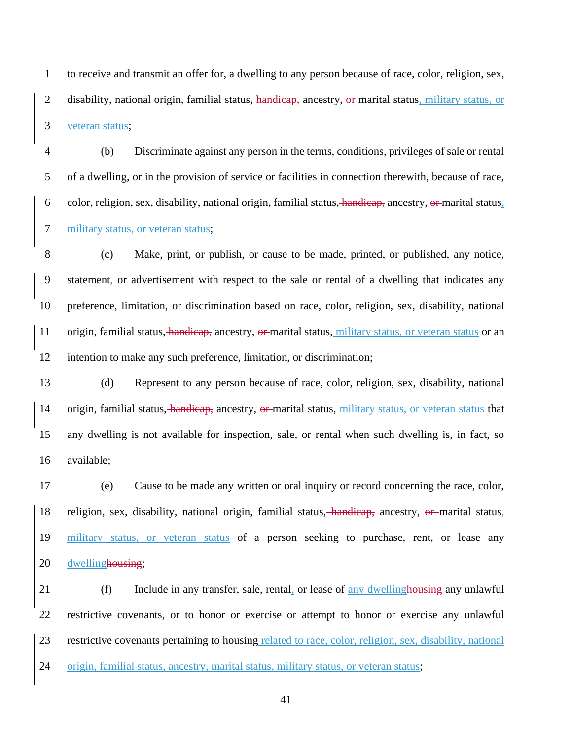to receive and transmit an offer for, a dwelling to any person because of race, color, religion, sex, 2 disability, national origin, familial status, handicap, ancestry, or marital status, military status, or veteran status;

 (b) Discriminate against any person in the terms, conditions, privileges of sale or rental of a dwelling, or in the provision of service or facilities in connection therewith, because of race, 6 color, religion, sex, disability, national origin, familial status, handicap, ancestry, or marital status, military status, or veteran status;

 (c) Make, print, or publish, or cause to be made, printed, or published, any notice, statement, or advertisement with respect to the sale or rental of a dwelling that indicates any preference, limitation, or discrimination based on race, color, religion, sex, disability, national 11 origin, familial status, handicap, ancestry, or marital status, military status, or veteran status or an intention to make any such preference, limitation, or discrimination;

 (d) Represent to any person because of race, color, religion, sex, disability, national 14 origin, familial status, handicap, ancestry, or marital status, military status, or veteran status that any dwelling is not available for inspection, sale, or rental when such dwelling is, in fact, so available;

 (e) Cause to be made any written or oral inquiry or record concerning the race, color, religion, sex, disability, national origin, familial status, handicap, ancestry, or marital status, 19 military status, or veteran status of a person seeking to purchase, rent, or lease any 20 dwellinghousing;

21 (f) Include in any transfer, sale, rental, or lease of any dwelling housing any unlawful restrictive covenants, or to honor or exercise or attempt to honor or exercise any unlawful 23 restrictive covenants pertaining to housing related to race, color, religion, sex, disability, national origin, familial status, ancestry, marital status, military status, or veteran status;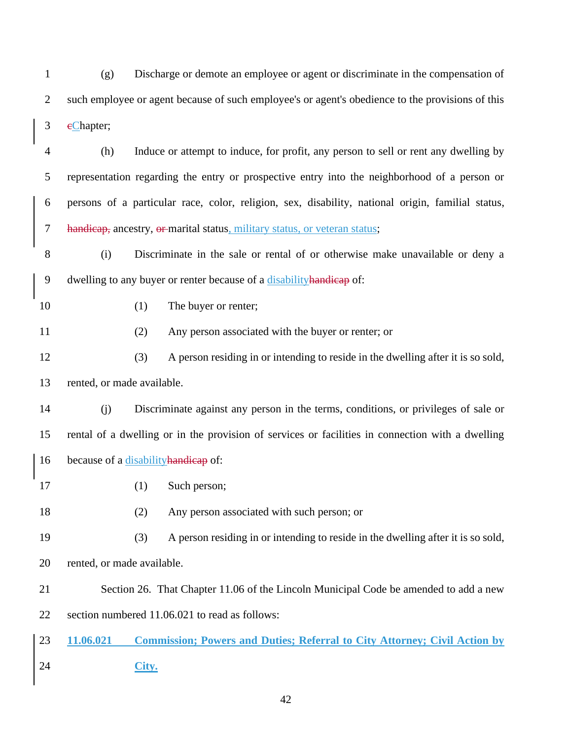(g) Discharge or demote an employee or agent or discriminate in the compensation of such employee or agent because of such employee's or agent's obedience to the provisions of this 3 eChapter;

 (h) Induce or attempt to induce, for profit, any person to sell or rent any dwelling by representation regarding the entry or prospective entry into the neighborhood of a person or persons of a particular race, color, religion, sex, disability, national origin, familial status, 7 handicap, ancestry, or marital status, military status, or veteran status;

 (i) Discriminate in the sale or rental of or otherwise make unavailable or deny a dwelling to any buyer or renter because of a disabilityhandicap of:

10 (1) The buyer or renter;

(2) Any person associated with the buyer or renter; or

 (3) A person residing in or intending to reside in the dwelling after it is so sold, rented, or made available.

 (j) Discriminate against any person in the terms, conditions, or privileges of sale or rental of a dwelling or in the provision of services or facilities in connection with a dwelling 16 because of a disability handicap of:

(1) Such person;

(2) Any person associated with such person; or

(3) A person residing in or intending to reside in the dwelling after it is so sold,

rented, or made available.

Section 26. That Chapter 11.06 of the Lincoln Municipal Code be amended to add a new

section numbered 11.06.021 to read as follows:

 **11.06.021 Commission; Powers and Duties; Referral to City Attorney; Civil Action by City.**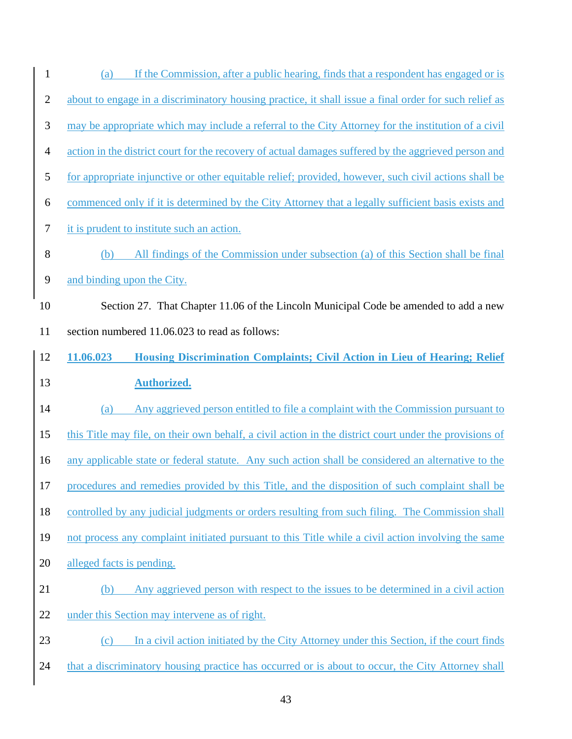| $\mathbf{1}$   | If the Commission, after a public hearing, finds that a respondent has engaged or is<br>(a)            |
|----------------|--------------------------------------------------------------------------------------------------------|
| $\overline{2}$ | about to engage in a discriminatory housing practice, it shall issue a final order for such relief as  |
| 3              | may be appropriate which may include a referral to the City Attorney for the institution of a civil    |
| $\overline{4}$ | action in the district court for the recovery of actual damages suffered by the aggrieved person and   |
| $\mathfrak{S}$ | for appropriate injunctive or other equitable relief; provided, however, such civil actions shall be   |
| 6              | commenced only if it is determined by the City Attorney that a legally sufficient basis exists and     |
| $\tau$         | it is prudent to institute such an action.                                                             |
| $8\,$          | All findings of the Commission under subsection (a) of this Section shall be final<br>(b)              |
| 9              | and binding upon the City.                                                                             |
| 10             | Section 27. That Chapter 11.06 of the Lincoln Municipal Code be amended to add a new                   |
| 11             | section numbered 11.06.023 to read as follows:                                                         |
| 12             | 11.06.023<br>Housing Discrimination Complaints; Civil Action in Lieu of Hearing; Relief                |
|                |                                                                                                        |
| 13             | <b>Authorized.</b>                                                                                     |
| 14             | Any aggrieved person entitled to file a complaint with the Commission pursuant to<br>(a)               |
| 15             | this Title may file, on their own behalf, a civil action in the district court under the provisions of |
| 16             | any applicable state or federal statute. Any such action shall be considered an alternative to the     |
| $17\,$         | procedures and remedies provided by this Title, and the disposition of such complaint shall be         |
| 18             | controlled by any judicial judgments or orders resulting from such filing. The Commission shall        |
| 19             | not process any complaint initiated pursuant to this Title while a civil action involving the same     |
| 20             | alleged facts is pending.                                                                              |
| 21             | Any aggrieved person with respect to the issues to be determined in a civil action<br>(b)              |
| 22             | under this Section may intervene as of right.                                                          |
| 23             | In a civil action initiated by the City Attorney under this Section, if the court finds<br>(c)         |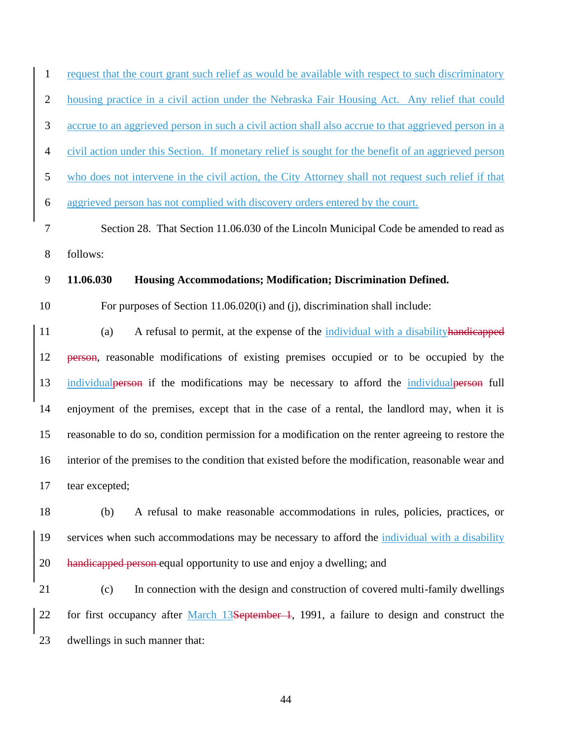1 request that the court grant such relief as would be available with respect to such discriminatory housing practice in a civil action under the Nebraska Fair Housing Act. Any relief that could

accrue to an aggrieved person in such a civil action shall also accrue to that aggrieved person in a

civil action under this Section. If monetary relief is sought for the benefit of an aggrieved person

who does not intervene in the civil action, the City Attorney shall not request such relief if that

aggrieved person has not complied with discovery orders entered by the court.

 Section 28. That Section 11.06.030 of the Lincoln Municipal Code be amended to read as follows:

#### **11.06.030 Housing Accommodations; Modification; Discrimination Defined.**

For purposes of Section 11.06.020(i) and (j), discrimination shall include:

11 (a) A refusal to permit, at the expense of the individual with a disability handicapped person, reasonable modifications of existing premises occupied or to be occupied by the 13 individual person if the modifications may be necessary to afford the individual person full enjoyment of the premises, except that in the case of a rental, the landlord may, when it is reasonable to do so, condition permission for a modification on the renter agreeing to restore the interior of the premises to the condition that existed before the modification, reasonable wear and tear excepted;

 (b) A refusal to make reasonable accommodations in rules, policies, practices, or services when such accommodations may be necessary to afford the individual with a disability handicapped person equal opportunity to use and enjoy a dwelling; and

 (c) In connection with the design and construction of covered multi-family dwellings 22 for first occupancy after March 13September 4, 1991, a failure to design and construct the dwellings in such manner that: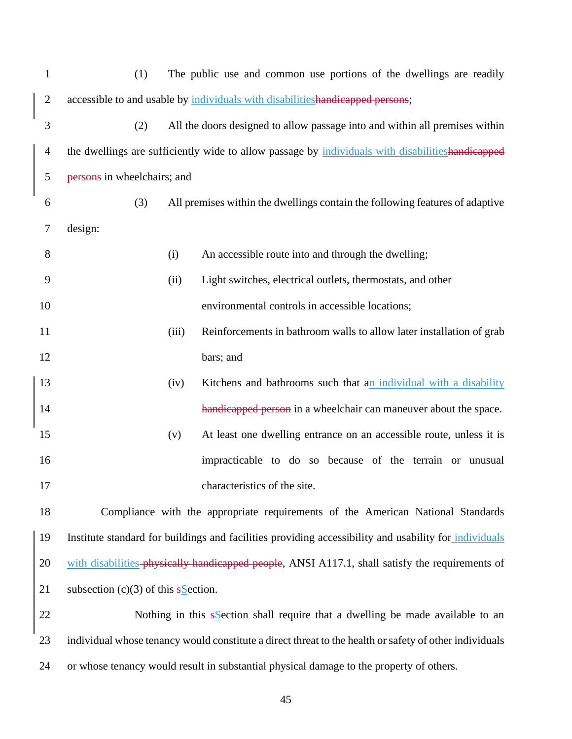| $\mathbf{1}$   | The public use and common use portions of the dwellings are readily<br>(1)                             |                                                                              |                                                                      |  |  |
|----------------|--------------------------------------------------------------------------------------------------------|------------------------------------------------------------------------------|----------------------------------------------------------------------|--|--|
| $\mathbf{2}$   | accessible to and usable by individuals with disabilities handicapped persons;                         |                                                                              |                                                                      |  |  |
| 3              | (2)                                                                                                    | All the doors designed to allow passage into and within all premises within  |                                                                      |  |  |
| $\overline{4}$ | the dwellings are sufficiently wide to allow passage by individuals with disabilitieshandicapped       |                                                                              |                                                                      |  |  |
| 5              | persons in wheelchairs; and                                                                            |                                                                              |                                                                      |  |  |
| 6              | (3)                                                                                                    | All premises within the dwellings contain the following features of adaptive |                                                                      |  |  |
| 7              | design:                                                                                                |                                                                              |                                                                      |  |  |
| 8              |                                                                                                        | (i)                                                                          | An accessible route into and through the dwelling;                   |  |  |
| 9              |                                                                                                        | (ii)                                                                         | Light switches, electrical outlets, thermostats, and other           |  |  |
| 10             |                                                                                                        |                                                                              | environmental controls in accessible locations;                      |  |  |
| 11             |                                                                                                        | (iii)                                                                        | Reinforcements in bathroom walls to allow later installation of grab |  |  |
| 12             |                                                                                                        |                                                                              | bars; and                                                            |  |  |
| 13             |                                                                                                        | (iv)                                                                         | Kitchens and bathrooms such that an individual with a disability     |  |  |
| 14             |                                                                                                        |                                                                              | handicapped person in a wheelchair can maneuver about the space.     |  |  |
| 15             |                                                                                                        | (v)                                                                          | At least one dwelling entrance on an accessible route, unless it is  |  |  |
| 16             |                                                                                                        |                                                                              | impracticable to do so because of the terrain or unusual             |  |  |
| 17             |                                                                                                        |                                                                              | characteristics of the site.                                         |  |  |
| 18             | Compliance with the appropriate requirements of the American National Standards                        |                                                                              |                                                                      |  |  |
| 19             | Institute standard for buildings and facilities providing accessibility and usability for individuals  |                                                                              |                                                                      |  |  |
| 20             | with disabilities-physically handicapped people, ANSI A117.1, shall satisfy the requirements of        |                                                                              |                                                                      |  |  |
| 21             | subsection $(c)(3)$ of this sSection.                                                                  |                                                                              |                                                                      |  |  |
| 22             | Nothing in this $s$ section shall require that a dwelling be made available to an                      |                                                                              |                                                                      |  |  |
| 23             | individual whose tenancy would constitute a direct threat to the health or safety of other individuals |                                                                              |                                                                      |  |  |
| 24             | or whose tenancy would result in substantial physical damage to the property of others.                |                                                                              |                                                                      |  |  |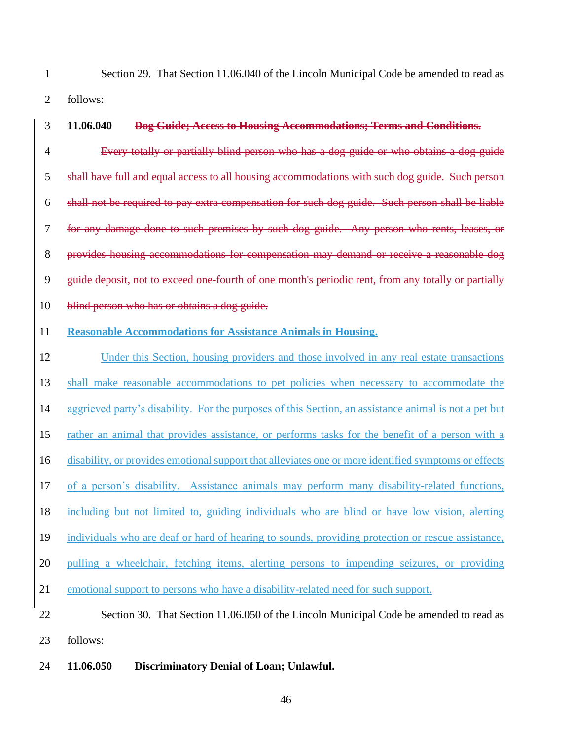Section 29. That Section 11.06.040 of the Lincoln Municipal Code be amended to read as follows:

- **11.06.040 Dog Guide; Access to Housing Accommodations; Terms and Conditions.** Every totally or partially blind person who has a dog guide or who obtains a dog guide 5 shall have full and equal access to all housing accommodations with such dog guide. Such person shall not be required to pay extra compensation for such dog guide. Such person shall be liable for any damage done to such premises by such dog guide. Any person who rents, leases, or provides housing accommodations for compensation may demand or receive a reasonable dog guide deposit, not to exceed one-fourth of one month's periodic rent, from any totally or partially 10 blind person who has or obtains a dog guide. **Reasonable Accommodations for Assistance Animals in Housing.** Under this Section, housing providers and those involved in any real estate transactions shall make reasonable accommodations to pet policies when necessary to accommodate the aggrieved party's disability. For the purposes of this Section, an assistance animal is not a pet but rather an animal that provides assistance, or performs tasks for the benefit of a person with a disability, or provides emotional support that alleviates one or more identified symptoms or effects of a person's disability. Assistance animals may perform many disability-related functions, including but not limited to, guiding individuals who are blind or have low vision, alerting individuals who are deaf or hard of hearing to sounds, providing protection or rescue assistance, pulling a wheelchair, fetching items, alerting persons to impending seizures, or providing emotional support to persons who have a disability-related need for such support. 22 Section 30. That Section 11.06.050 of the Lincoln Municipal Code be amended to read as
- follows:

### **11.06.050 Discriminatory Denial of Loan; Unlawful.**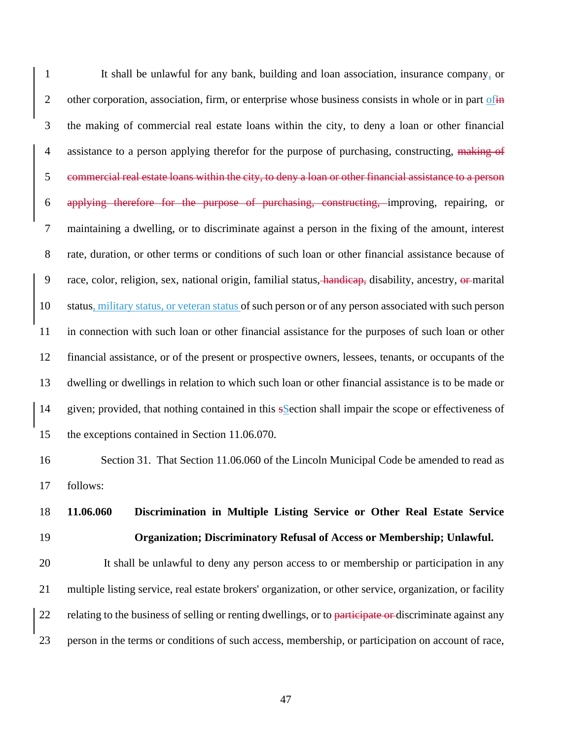It shall be unlawful for any bank, building and loan association, insurance company, or 2 other corporation, association, firm, or enterprise whose business consists in whole or in part of  $\frac{1}{2}$  the making of commercial real estate loans within the city, to deny a loan or other financial 4 assistance to a person applying therefor for the purpose of purchasing, constructing, making of commercial real estate loans within the city, to deny a loan or other financial assistance to a person applying therefore for the purpose of purchasing, constructing, improving, repairing, or maintaining a dwelling, or to discriminate against a person in the fixing of the amount, interest rate, duration, or other terms or conditions of such loan or other financial assistance because of 9 race, color, religion, sex, national origin, familial status, handicap, disability, ancestry, or marital status, military status, or veteran status of such person or of any person associated with such person in connection with such loan or other financial assistance for the purposes of such loan or other financial assistance, or of the present or prospective owners, lessees, tenants, or occupants of the dwelling or dwellings in relation to which such loan or other financial assistance is to be made or given; provided, that nothing contained in this sSection shall impair the scope or effectiveness of the exceptions contained in Section 11.06.070.

16 Section 31. That Section 11.06.060 of the Lincoln Municipal Code be amended to read as follows:

 **11.06.060 Discrimination in Multiple Listing Service or Other Real Estate Service Organization; Discriminatory Refusal of Access or Membership; Unlawful.**

 It shall be unlawful to deny any person access to or membership or participation in any multiple listing service, real estate brokers' organization, or other service, organization, or facility 22 relating to the business of selling or renting dwellings, or to participate or discriminate against any person in the terms or conditions of such access, membership, or participation on account of race,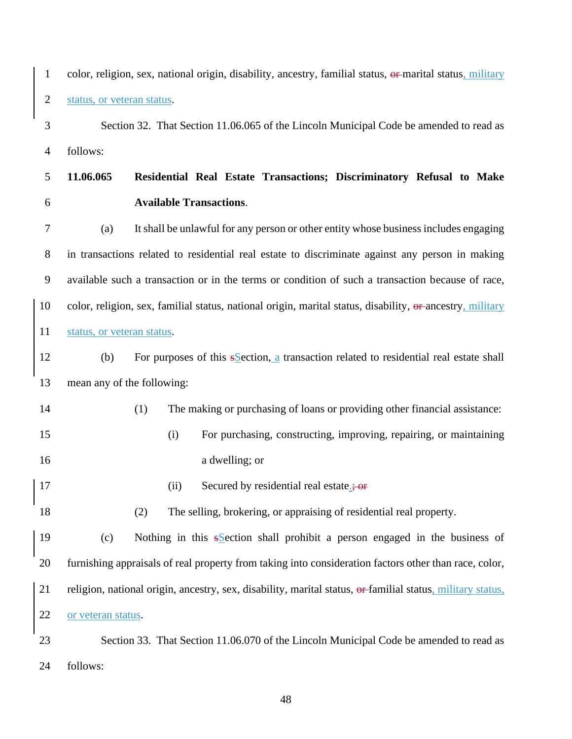color, religion, sex, national origin, disability, ancestry, familial status, or marital status, military status, or veteran status. Section 32. That Section 11.06.065 of the Lincoln Municipal Code be amended to read as follows: **11.06.065 Residential Real Estate Transactions; Discriminatory Refusal to Make Available Transactions**. (a) It shall be unlawful for any person or other entity whose business includes engaging in transactions related to residential real estate to discriminate against any person in making available such a transaction or in the terms or condition of such a transaction because of race, 10 color, religion, sex, familial status, national origin, marital status, disability, or ancestry, military status, or veteran status. 12 (b) For purposes of this section, a transaction related to residential real estate shall mean any of the following: (1) The making or purchasing of loans or providing other financial assistance: (i) For purchasing, constructing, improving, repairing, or maintaining a dwelling; or 17 (ii) Secured by residential real estate.; or (2) The selling, brokering, or appraising of residential real property. (c) Nothing in this sSection shall prohibit a person engaged in the business of furnishing appraisals of real property from taking into consideration factors other than race, color, religion, national origin, ancestry, sex, disability, marital status, or familial status, military status, or veteran status. Section 33. That Section 11.06.070 of the Lincoln Municipal Code be amended to read as follows: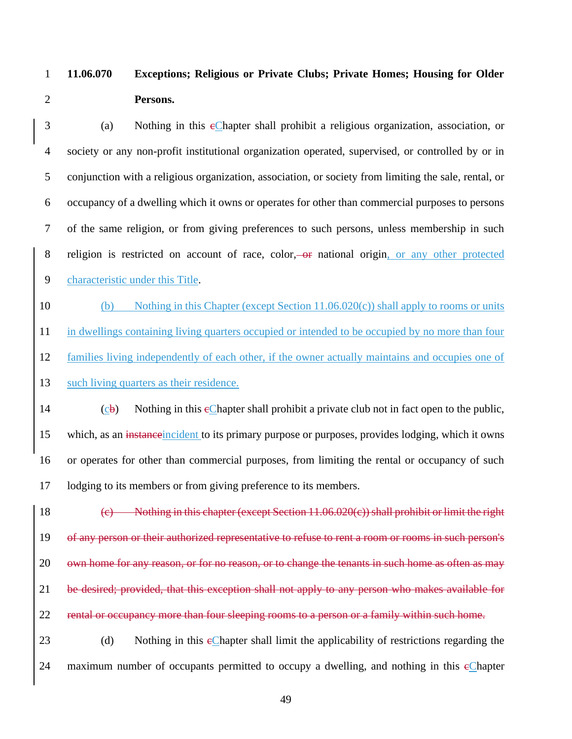## **11.06.070 Exceptions; Religious or Private Clubs; Private Homes; Housing for Older Persons.**

3 (a) Nothing in this eChapter shall prohibit a religious organization, association, or society or any non-profit institutional organization operated, supervised, or controlled by or in conjunction with a religious organization, association, or society from limiting the sale, rental, or occupancy of a dwelling which it owns or operates for other than commercial purposes to persons of the same religion, or from giving preferences to such persons, unless membership in such 8 religion is restricted on account of race, color, or national origin, or any other protected characteristic under this Title.

10 (b) Nothing in this Chapter (except Section 11.06.020(c)) shall apply to rooms or units in dwellings containing living quarters occupied or intended to be occupied by no more than four families living independently of each other, if the owner actually maintains and occupies one of such living quarters as their residence.

 (cb) Nothing in this eChapter shall prohibit a private club not in fact open to the public, 15 which, as an instance incident to its primary purpose or purposes, provides lodging, which it owns or operates for other than commercial purposes, from limiting the rental or occupancy of such lodging to its members or from giving preference to its members.

18 (c) Nothing in this chapter (except Section 11.06.020(c)) shall prohibit or limit the right of any person or their authorized representative to refuse to rent a room or rooms in such person's 20 own home for any reason, or for no reason, or to change the tenants in such home as often as may be desired; provided, that this exception shall not apply to any person who makes available for 22 rental or occupancy more than four sleeping rooms to a person or a family within such home. 23 (d) Nothing in this eChapter shall limit the applicability of restrictions regarding the

24 maximum number of occupants permitted to occupy a dwelling, and nothing in this eChapter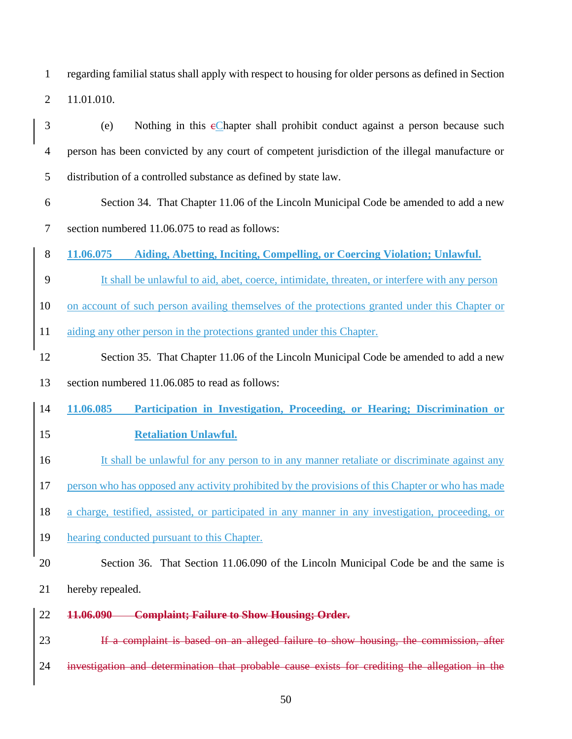regarding familial status shall apply with respect to housing for older persons as defined in Section 11.01.010.

- (e) Nothing in this cChapter shall prohibit conduct against a person because such person has been convicted by any court of competent jurisdiction of the illegal manufacture or distribution of a controlled substance as defined by state law.
- Section 34. That Chapter 11.06 of the Lincoln Municipal Code be amended to add a new section numbered 11.06.075 to read as follows:
- **11.06.075 Aiding, Abetting, Inciting, Compelling, or Coercing Violation; Unlawful.**
- It shall be unlawful to aid, abet, coerce, intimidate, threaten, or interfere with any person
- on account of such person availing themselves of the protections granted under this Chapter or
- aiding any other person in the protections granted under this Chapter.
- Section 35. That Chapter 11.06 of the Lincoln Municipal Code be amended to add a new
- section numbered 11.06.085 to read as follows:
- **11.06.085 Participation in Investigation, Proceeding, or Hearing; Discrimination or**
- **Retaliation Unlawful.**
- 16 It shall be unlawful for any person to in any manner retaliate or discriminate against any
- person who has opposed any activity prohibited by the provisions of this Chapter or who has made
- a charge, testified, assisted, or participated in any manner in any investigation, proceeding, or
- hearing conducted pursuant to this Chapter.
- Section 36. That Section 11.06.090 of the Lincoln Municipal Code be and the same is hereby repealed.
- **11.06.090 Complaint; Failure to Show Housing; Order.**

23 If a complaint is based on an alleged failure to show housing, the commission, after investigation and determination that probable cause exists for crediting the allegation in the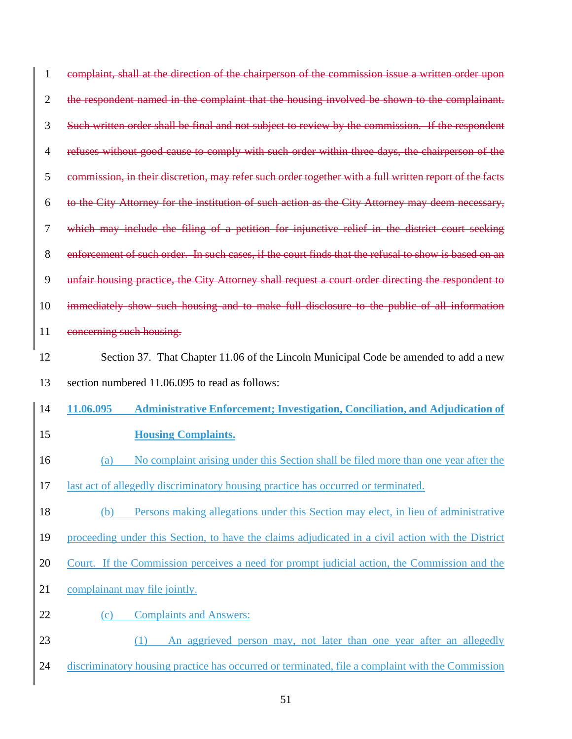| 1              | complaint, shall at the direction of the chairperson of the commission issue a written order upon      |  |  |  |  |  |
|----------------|--------------------------------------------------------------------------------------------------------|--|--|--|--|--|
| $\overline{2}$ | the respondent named in the complaint that the housing involved be shown to the complainant.           |  |  |  |  |  |
| 3              | Such written order shall be final and not subject to review by the commission. If the respondent       |  |  |  |  |  |
| $\overline{4}$ | refuses without good cause to comply with such order within three days, the chairperson of the         |  |  |  |  |  |
| 5              | commission, in their discretion, may refer such order together with a full written report of the facts |  |  |  |  |  |
| 6              | to the City Attorney for the institution of such action as the City Attorney may deem necessary,       |  |  |  |  |  |
| 7              | which may include the filing of a petition for injunctive relief in the district court seeking         |  |  |  |  |  |
| 8              | enforcement of such order. In such cases, if the court finds that the refusal to show is based on an   |  |  |  |  |  |
| 9              | unfair housing practice, the City Attorney shall request a court order directing the respondent to     |  |  |  |  |  |
| 10             | immediately show such housing and to make full disclosure to the public of all information             |  |  |  |  |  |
| 11             | concerning such housing.                                                                               |  |  |  |  |  |
| 12             | Section 37. That Chapter 11.06 of the Lincoln Municipal Code be amended to add a new                   |  |  |  |  |  |
|                |                                                                                                        |  |  |  |  |  |
| 13             | section numbered 11.06.095 to read as follows:                                                         |  |  |  |  |  |
| 14             | 11.06.095<br><b>Administrative Enforcement; Investigation, Conciliation, and Adjudication of</b>       |  |  |  |  |  |
| 15             | <b>Housing Complaints.</b>                                                                             |  |  |  |  |  |
| 16             | No complaint arising under this Section shall be filed more than one year after the<br>(a)             |  |  |  |  |  |
| 17             | last act of allegedly discriminatory housing practice has occurred or terminated.                      |  |  |  |  |  |
| 18             | Persons making allegations under this Section may elect, in lieu of administrative<br>(b)              |  |  |  |  |  |
| 19             | proceeding under this Section, to have the claims adjudicated in a civil action with the District      |  |  |  |  |  |
| 20             | Court. If the Commission perceives a need for prompt judicial action, the Commission and the           |  |  |  |  |  |
| 21             | complainant may file jointly.                                                                          |  |  |  |  |  |
| 22             | <b>Complaints and Answers:</b><br>(c)                                                                  |  |  |  |  |  |
| 23             | An aggrieved person may, not later than one year after an allegedly<br>(1)                             |  |  |  |  |  |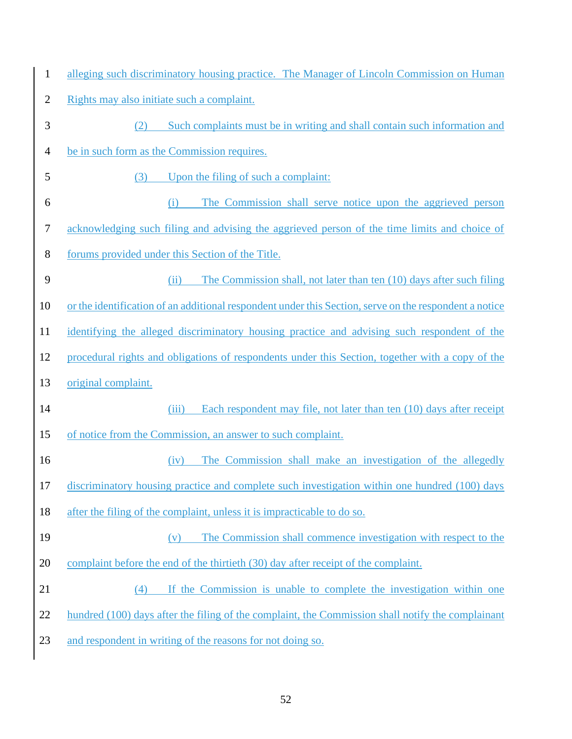| $\mathbf{1}$   | alleging such discriminatory housing practice. The Manager of Lincoln Commission on Human              |  |  |  |  |  |
|----------------|--------------------------------------------------------------------------------------------------------|--|--|--|--|--|
| $\overline{2}$ | Rights may also initiate such a complaint.                                                             |  |  |  |  |  |
| 3              | Such complaints must be in writing and shall contain such information and<br>(2)                       |  |  |  |  |  |
| $\overline{4}$ | be in such form as the Commission requires.                                                            |  |  |  |  |  |
| 5              | Upon the filing of such a complaint:<br>(3)                                                            |  |  |  |  |  |
| 6              | The Commission shall serve notice upon the aggrieved person<br>(i)                                     |  |  |  |  |  |
| 7              | acknowledging such filing and advising the aggrieved person of the time limits and choice of           |  |  |  |  |  |
| 8              | forums provided under this Section of the Title.                                                       |  |  |  |  |  |
| 9              | The Commission shall, not later than ten (10) days after such filing<br>(ii)                           |  |  |  |  |  |
| 10             | or the identification of an additional respondent under this Section, serve on the respondent a notice |  |  |  |  |  |
| 11             | identifying the alleged discriminatory housing practice and advising such respondent of the            |  |  |  |  |  |
| 12             | procedural rights and obligations of respondents under this Section, together with a copy of the       |  |  |  |  |  |
| 13             | original complaint.                                                                                    |  |  |  |  |  |
| 14             | Each respondent may file, not later than ten (10) days after receipt<br>(iii)                          |  |  |  |  |  |
| 15             | of notice from the Commission, an answer to such complaint.                                            |  |  |  |  |  |
| 16             | The Commission shall make an investigation of the allegedly<br>(iv)                                    |  |  |  |  |  |
| 17             | discriminatory housing practice and complete such investigation within one hundred (100) days          |  |  |  |  |  |
| 18             | after the filing of the complaint, unless it is impracticable to do so.                                |  |  |  |  |  |
| 19             | The Commission shall commence investigation with respect to the<br>(v)                                 |  |  |  |  |  |
| 20             | complaint before the end of the thirtieth (30) day after receipt of the complaint.                     |  |  |  |  |  |
| 21             | If the Commission is unable to complete the investigation within one<br>(4)                            |  |  |  |  |  |
| 22             | hundred (100) days after the filing of the complaint, the Commission shall notify the complainant      |  |  |  |  |  |
| 23             | and respondent in writing of the reasons for not doing so.                                             |  |  |  |  |  |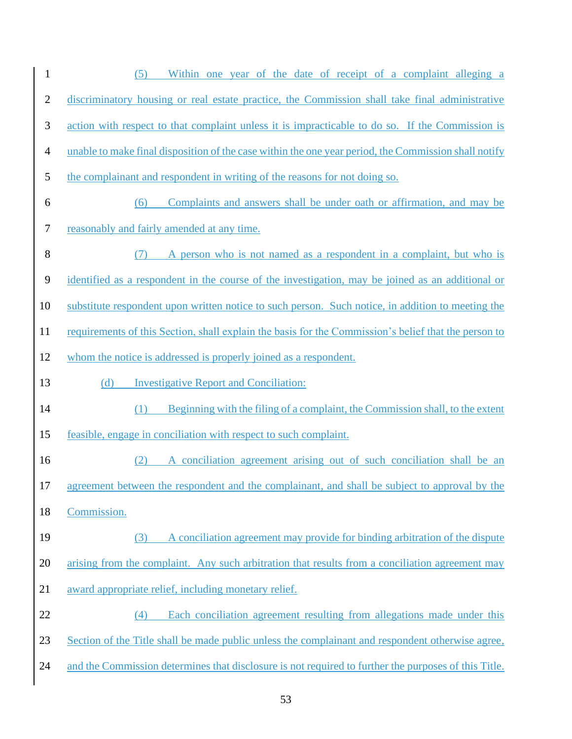| $\mathbf{1}$   | Within one year of the date of receipt of a complaint alleging a<br>(5)                              |  |  |  |  |  |
|----------------|------------------------------------------------------------------------------------------------------|--|--|--|--|--|
| $\overline{2}$ | discriminatory housing or real estate practice, the Commission shall take final administrative       |  |  |  |  |  |
| $\mathfrak{Z}$ | action with respect to that complaint unless it is impracticable to do so. If the Commission is      |  |  |  |  |  |
| $\overline{4}$ | unable to make final disposition of the case within the one year period, the Commission shall notify |  |  |  |  |  |
| 5              | the complainant and respondent in writing of the reasons for not doing so.                           |  |  |  |  |  |
| 6              | Complaints and answers shall be under oath or affirmation, and may be<br>(6)                         |  |  |  |  |  |
| $\tau$         | reasonably and fairly amended at any time.                                                           |  |  |  |  |  |
| $8\,$          | A person who is not named as a respondent in a complaint, but who is<br>(7)                          |  |  |  |  |  |
| 9              | identified as a respondent in the course of the investigation, may be joined as an additional or     |  |  |  |  |  |
| 10             | substitute respondent upon written notice to such person. Such notice, in addition to meeting the    |  |  |  |  |  |
| 11             | requirements of this Section, shall explain the basis for the Commission's belief that the person to |  |  |  |  |  |
| 12             | whom the notice is addressed is properly joined as a respondent.                                     |  |  |  |  |  |
| 13             | <b>Investigative Report and Conciliation:</b><br>(d)                                                 |  |  |  |  |  |
| 14             | Beginning with the filing of a complaint, the Commission shall, to the extent<br>(1)                 |  |  |  |  |  |
| 15             | feasible, engage in conciliation with respect to such complaint.                                     |  |  |  |  |  |
| 16             | (2) A conciliation agreement arising out of such conciliation shall be an                            |  |  |  |  |  |
| 17             | agreement between the respondent and the complainant, and shall be subject to approval by the        |  |  |  |  |  |
| 18             | Commission.                                                                                          |  |  |  |  |  |
| 19             | A conciliation agreement may provide for binding arbitration of the dispute<br>(3)                   |  |  |  |  |  |
| 20             | arising from the complaint. Any such arbitration that results from a conciliation agreement may      |  |  |  |  |  |
| 21             | award appropriate relief, including monetary relief.                                                 |  |  |  |  |  |
| 22             | Each conciliation agreement resulting from allegations made under this<br>(4)                        |  |  |  |  |  |
| 23             | Section of the Title shall be made public unless the complainant and respondent otherwise agree,     |  |  |  |  |  |
| 24             | and the Commission determines that disclosure is not required to further the purposes of this Title. |  |  |  |  |  |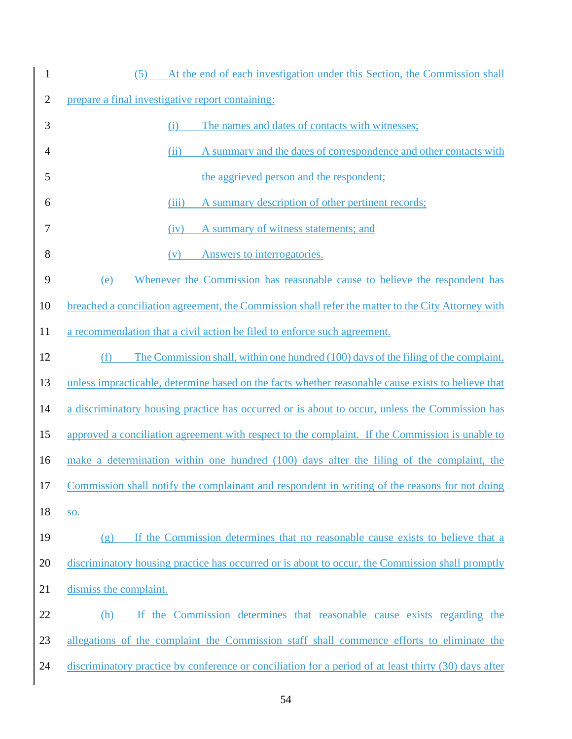| $\mathbf{1}$   | At the end of each investigation under this Section, the Commission shall<br>(5)                      |
|----------------|-------------------------------------------------------------------------------------------------------|
| $\mathbf{2}$   | prepare a final investigative report containing:                                                      |
| 3              | The names and dates of contacts with witnesses;<br>(i)                                                |
| $\overline{4}$ | A summary and the dates of correspondence and other contacts with<br>(ii)                             |
| 5              | the aggrieved person and the respondent;                                                              |
| 6              | A summary description of other pertinent records;<br>(iii)                                            |
| 7              | A summary of witness statements; and<br>(iv)                                                          |
| 8              | Answers to interrogatories.<br>(v)                                                                    |
| 9              | Whenever the Commission has reasonable cause to believe the respondent has<br>(e)                     |
| 10             | breached a conciliation agreement, the Commission shall refer the matter to the City Attorney with    |
| 11             | a recommendation that a civil action be filed to enforce such agreement.                              |
| 12             | The Commission shall, within one hundred (100) days of the filing of the complaint,<br>(f)            |
| 13             | unless impracticable, determine based on the facts whether reasonable cause exists to believe that    |
| 14             | a discriminatory housing practice has occurred or is about to occur, unless the Commission has        |
| 15             | approved a conciliation agreement with respect to the complaint. If the Commission is unable to       |
| 16             | make a determination within one hundred (100) days after the filing of the complaint, the             |
| 17             | Commission shall notify the complainant and respondent in writing of the reasons for not doing        |
| 18             | <b>SO.</b>                                                                                            |
| 19             | If the Commission determines that no reasonable cause exists to believe that a<br>(g)                 |
| 20             | discriminatory housing practice has occurred or is about to occur, the Commission shall promptly      |
| 21             | dismiss the complaint.                                                                                |
| 22             | If the Commission determines that reasonable cause exists regarding the<br>(h)                        |
| 23             | allegations of the complaint the Commission staff shall commence efforts to eliminate the             |
| 24             | discriminatory practice by conference or conciliation for a period of at least thirty (30) days after |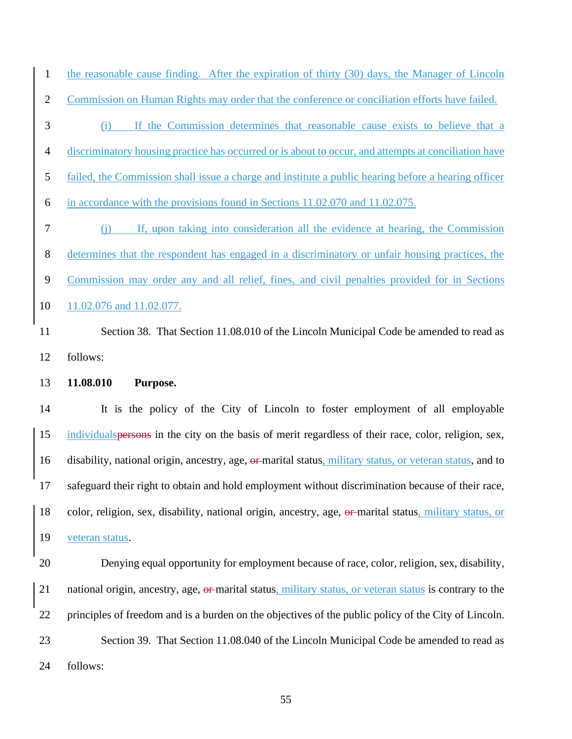the reasonable cause finding. After the expiration of thirty (30) days, the Manager of Lincoln Commission on Human Rights may order that the conference or conciliation efforts have failed.

- (i) If the Commission determines that reasonable cause exists to believe that a discriminatory housing practice has occurred or is about to occur, and attempts at conciliation have failed, the Commission shall issue a charge and institute a public hearing before a hearing officer in accordance with the provisions found in Sections 11.02.070 and 11.02.075. (j) If, upon taking into consideration all the evidence at hearing, the Commission determines that the respondent has engaged in a discriminatory or unfair housing practices, the Commission may order any and all relief, fines, and civil penalties provided for in Sections
- 11.02.076 and 11.02.077.
- 11 Section 38. That Section 11.08.010 of the Lincoln Municipal Code be amended to read as follows:
- **11.08.010 Purpose.**

 It is the policy of the City of Lincoln to foster employment of all employable individualspersons in the city on the basis of merit regardless of their race, color, religion, sex, 16 disability, national origin, ancestry, age, or marital status, military status, or veteran status, and to safeguard their right to obtain and hold employment without discrimination because of their race, color, religion, sex, disability, national origin, ancestry, age, or marital status, military status, or veteran status.

 Denying equal opportunity for employment because of race, color, religion, sex, disability, 21 national origin, ancestry, age, or marital status, military status, or veteran status is contrary to the principles of freedom and is a burden on the objectives of the public policy of the City of Lincoln. Section 39. That Section 11.08.040 of the Lincoln Municipal Code be amended to read as follows: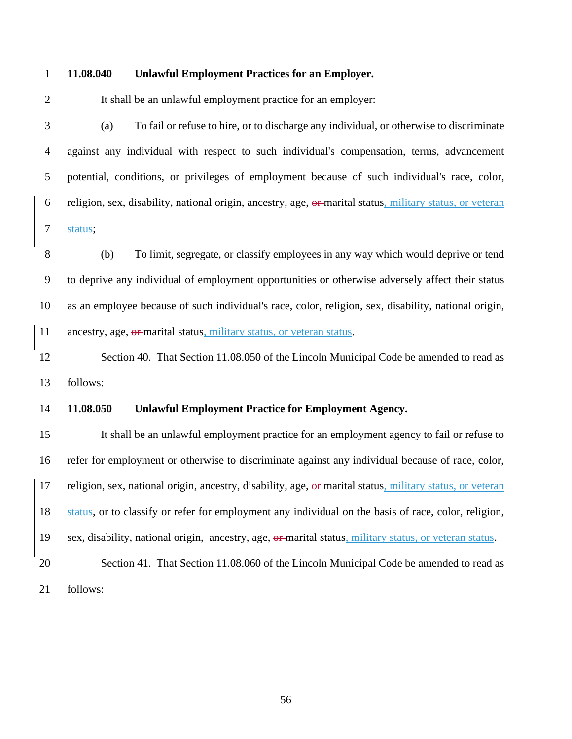#### **11.08.040 Unlawful Employment Practices for an Employer.**

2 It shall be an unlawful employment practice for an employer:

 (a) To fail or refuse to hire, or to discharge any individual, or otherwise to discriminate against any individual with respect to such individual's compensation, terms, advancement potential, conditions, or privileges of employment because of such individual's race, color, religion, sex, disability, national origin, ancestry, age, or marital status, military status, or veteran status;

 (b) To limit, segregate, or classify employees in any way which would deprive or tend to deprive any individual of employment opportunities or otherwise adversely affect their status as an employee because of such individual's race, color, religion, sex, disability, national origin, 11 ancestry, age, or-marital status, military status, or veteran status.

12 Section 40. That Section 11.08.050 of the Lincoln Municipal Code be amended to read as follows:

#### **11.08.050 Unlawful Employment Practice for Employment Agency.**

 It shall be an unlawful employment practice for an employment agency to fail or refuse to refer for employment or otherwise to discriminate against any individual because of race, color, 17 religion, sex, national origin, ancestry, disability, age, or marital status, military status, or veteran status, or to classify or refer for employment any individual on the basis of race, color, religion, 19 sex, disability, national origin, ancestry, age, or marital status, military status, or veteran status. Section 41. That Section 11.08.060 of the Lincoln Municipal Code be amended to read as

follows: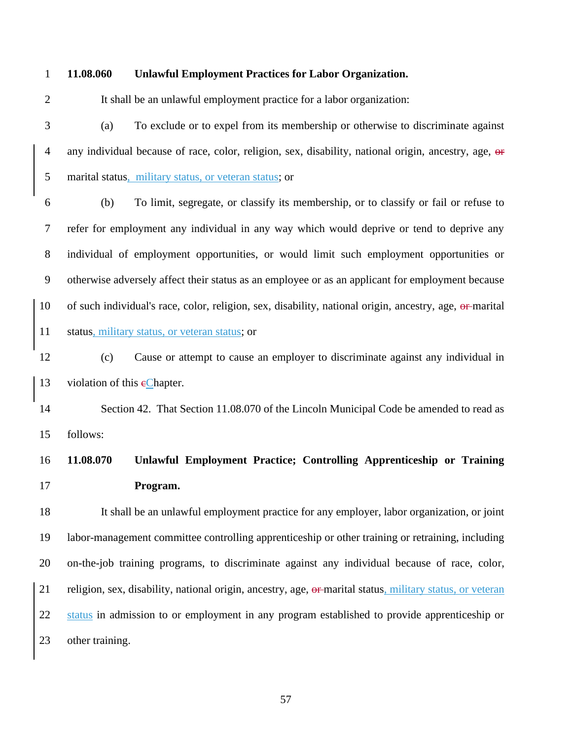#### **11.08.060 Unlawful Employment Practices for Labor Organization.**

It shall be an unlawful employment practice for a labor organization:

 (a) To exclude or to expel from its membership or otherwise to discriminate against 4 any individual because of race, color, religion, sex, disability, national origin, ancestry, age, or marital status, military status, or veteran status; or

 (b) To limit, segregate, or classify its membership, or to classify or fail or refuse to refer for employment any individual in any way which would deprive or tend to deprive any individual of employment opportunities, or would limit such employment opportunities or otherwise adversely affect their status as an employee or as an applicant for employment because 10 of such individual's race, color, religion, sex, disability, national origin, ancestry, age, or marital 11 status, military status, or veteran status; or

 (c) Cause or attempt to cause an employer to discriminate against any individual in 13 violation of this  $e$ Chapter.

 Section 42. That Section 11.08.070 of the Lincoln Municipal Code be amended to read as follows:

## **11.08.070 Unlawful Employment Practice; Controlling Apprenticeship or Training Program.**

 It shall be an unlawful employment practice for any employer, labor organization, or joint labor-management committee controlling apprenticeship or other training or retraining, including on-the-job training programs, to discriminate against any individual because of race, color, 21 religion, sex, disability, national origin, ancestry, age, or marital status, military status, or veteran status in admission to or employment in any program established to provide apprenticeship or other training.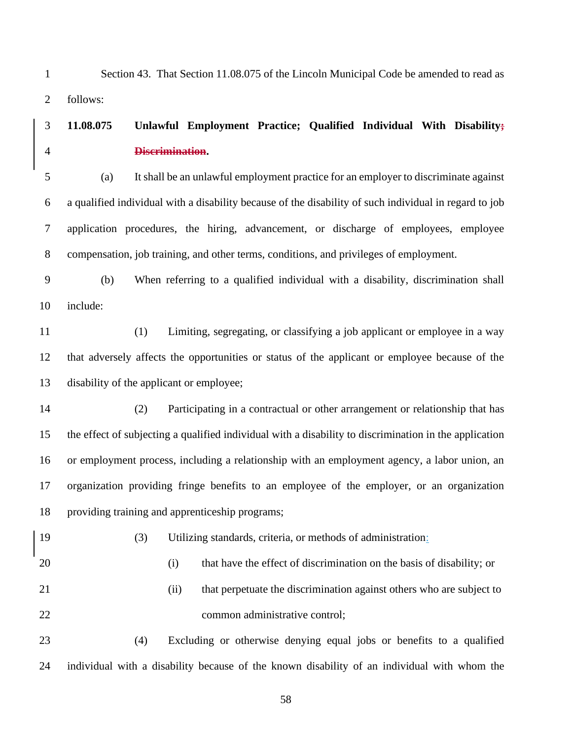Section 43. That Section 11.08.075 of the Lincoln Municipal Code be amended to read as follows:

### **11.08.075 Unlawful Employment Practice; Qualified Individual With Disability; Discrimination.**

 (a) It shall be an unlawful employment practice for an employer to discriminate against a qualified individual with a disability because of the disability of such individual in regard to job application procedures, the hiring, advancement, or discharge of employees, employee compensation, job training, and other terms, conditions, and privileges of employment.

 (b) When referring to a qualified individual with a disability, discrimination shall include:

 (1) Limiting, segregating, or classifying a job applicant or employee in a way that adversely affects the opportunities or status of the applicant or employee because of the disability of the applicant or employee;

- (2) Participating in a contractual or other arrangement or relationship that has the effect of subjecting a qualified individual with a disability to discrimination in the application or employment process, including a relationship with an employment agency, a labor union, an organization providing fringe benefits to an employee of the employer, or an organization providing training and apprenticeship programs;
- (3) Utilizing standards, criteria, or methods of administration: (i) that have the effect of discrimination on the basis of disability; or (ii) that perpetuate the discrimination against others who are subject to 22 common administrative control; (4) Excluding or otherwise denying equal jobs or benefits to a qualified

individual with a disability because of the known disability of an individual with whom the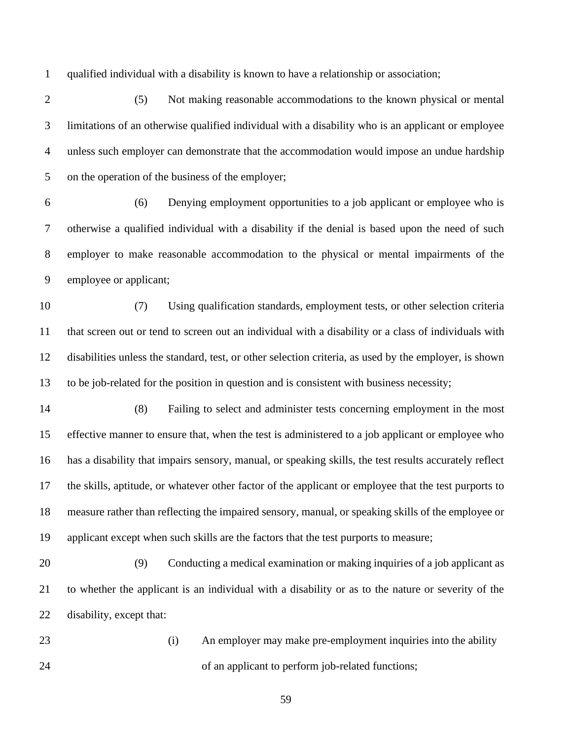qualified individual with a disability is known to have a relationship or association;

 (5) Not making reasonable accommodations to the known physical or mental limitations of an otherwise qualified individual with a disability who is an applicant or employee unless such employer can demonstrate that the accommodation would impose an undue hardship on the operation of the business of the employer;

 (6) Denying employment opportunities to a job applicant or employee who is otherwise a qualified individual with a disability if the denial is based upon the need of such employer to make reasonable accommodation to the physical or mental impairments of the employee or applicant;

 (7) Using qualification standards, employment tests, or other selection criteria that screen out or tend to screen out an individual with a disability or a class of individuals with disabilities unless the standard, test, or other selection criteria, as used by the employer, is shown to be job-related for the position in question and is consistent with business necessity;

 (8) Failing to select and administer tests concerning employment in the most effective manner to ensure that, when the test is administered to a job applicant or employee who has a disability that impairs sensory, manual, or speaking skills, the test results accurately reflect the skills, aptitude, or whatever other factor of the applicant or employee that the test purports to measure rather than reflecting the impaired sensory, manual, or speaking skills of the employee or applicant except when such skills are the factors that the test purports to measure;

 (9) Conducting a medical examination or making inquiries of a job applicant as to whether the applicant is an individual with a disability or as to the nature or severity of the disability, except that:

 (i) An employer may make pre-employment inquiries into the ability of an applicant to perform job-related functions;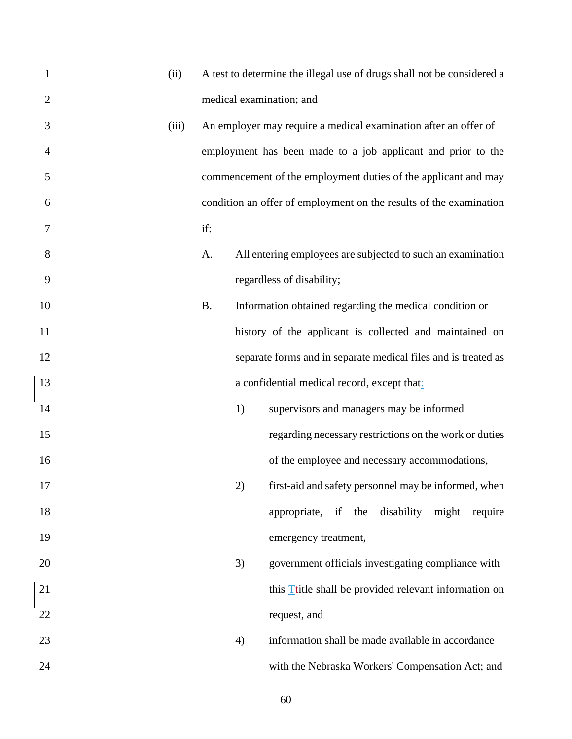| $\mathbf{1}$ | (ii)  |           |    | A test to determine the illegal use of drugs shall not be considered a |
|--------------|-------|-----------|----|------------------------------------------------------------------------|
| $\mathbf{2}$ |       |           |    | medical examination; and                                               |
| 3            | (iii) |           |    | An employer may require a medical examination after an offer of        |
| 4            |       |           |    | employment has been made to a job applicant and prior to the           |
| 5            |       |           |    | commencement of the employment duties of the applicant and may         |
| 6            |       |           |    | condition an offer of employment on the results of the examination     |
| 7            |       | if:       |    |                                                                        |
| 8            |       | A.        |    | All entering employees are subjected to such an examination            |
| 9            |       |           |    | regardless of disability;                                              |
| 10           |       | <b>B.</b> |    | Information obtained regarding the medical condition or                |
| 11           |       |           |    | history of the applicant is collected and maintained on                |
| 12           |       |           |    | separate forms and in separate medical files and is treated as         |
| 13           |       |           |    | a confidential medical record, except that:                            |
| 14           |       |           | 1) | supervisors and managers may be informed                               |
| 15           |       |           |    | regarding necessary restrictions on the work or duties                 |
| 16           |       |           |    | of the employee and necessary accommodations,                          |
| 17           |       |           | 2) | first-aid and safety personnel may be informed, when                   |
| 18           |       |           |    | disability might require<br>appropriate, if the                        |
| 19           |       |           |    | emergency treatment,                                                   |
| 20           |       |           | 3) | government officials investigating compliance with                     |
| 21           |       |           |    | this <b>T</b> title shall be provided relevant information on          |
| 22           |       |           |    | request, and                                                           |
| 23           |       |           | 4) | information shall be made available in accordance                      |
| 24           |       |           |    | with the Nebraska Workers' Compensation Act; and                       |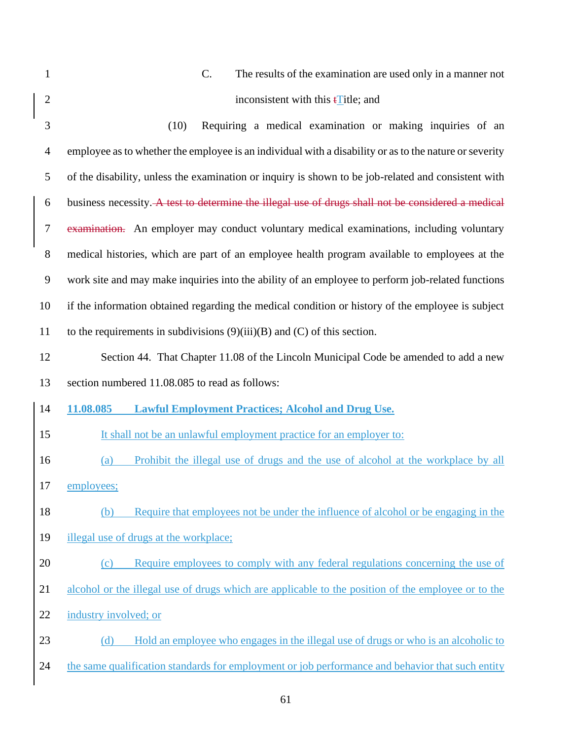| $\mathbf{1}$   | C.<br>The results of the examination are used only in a manner not                                     |  |  |
|----------------|--------------------------------------------------------------------------------------------------------|--|--|
| $\overline{2}$ | inconsistent with this $\mathbf{t}$ Title; and                                                         |  |  |
| 3              | (10)<br>Requiring a medical examination or making inquiries of an                                      |  |  |
| $\overline{4}$ | employee as to whether the employee is an individual with a disability or as to the nature or severity |  |  |
| 5              | of the disability, unless the examination or inquiry is shown to be job-related and consistent with    |  |  |
| 6              | business necessity. A test to determine the illegal use of drugs shall not be considered a medical     |  |  |
| 7              | examination. An employer may conduct voluntary medical examinations, including voluntary               |  |  |
| 8              | medical histories, which are part of an employee health program available to employees at the          |  |  |
| 9              | work site and may make inquiries into the ability of an employee to perform job-related functions      |  |  |
| 10             | if the information obtained regarding the medical condition or history of the employee is subject      |  |  |
| 11             | to the requirements in subdivisions $(9)(iii)(B)$ and $(C)$ of this section.                           |  |  |
| 12             | Section 44. That Chapter 11.08 of the Lincoln Municipal Code be amended to add a new                   |  |  |
| 13             | section numbered 11.08.085 to read as follows:                                                         |  |  |
|                |                                                                                                        |  |  |
| 14             | 11.08.085<br><b>Lawful Employment Practices; Alcohol and Drug Use.</b>                                 |  |  |
| 15             | It shall not be an unlawful employment practice for an employer to:                                    |  |  |
| 16             | Prohibit the illegal use of drugs and the use of alcohol at the workplace by all<br>(a)                |  |  |
| 17             | employees;                                                                                             |  |  |
| 18             | Require that employees not be under the influence of alcohol or be engaging in the<br>(b)              |  |  |
| 19             | illegal use of drugs at the workplace;                                                                 |  |  |
| 20             | Require employees to comply with any federal regulations concerning the use of<br>(c)                  |  |  |
| 21             | alcohol or the illegal use of drugs which are applicable to the position of the employee or to the     |  |  |
| 22             | industry involved; or                                                                                  |  |  |
| 23             | Hold an employee who engages in the illegal use of drugs or who is an alcoholic to<br>(d)              |  |  |
| 24             | the same qualification standards for employment or job performance and behavior that such entity       |  |  |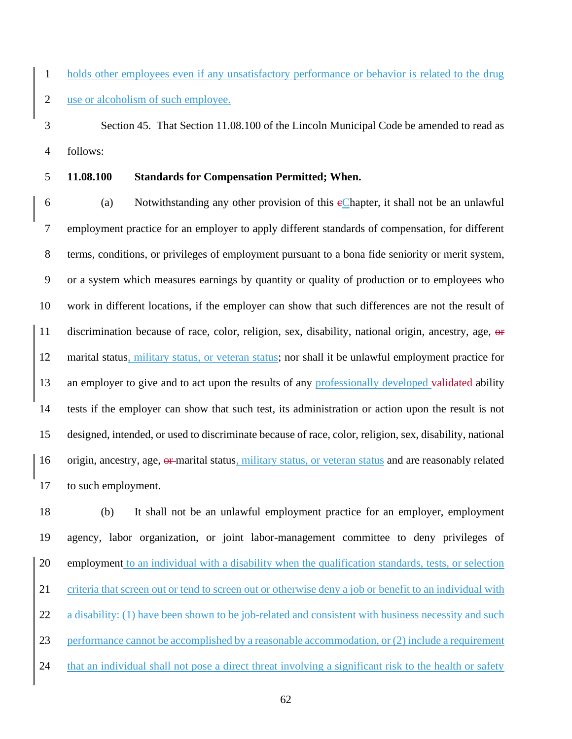holds other employees even if any unsatisfactory performance or behavior is related to the drug use or alcoholism of such employee.

 Section 45. That Section 11.08.100 of the Lincoln Municipal Code be amended to read as follows:

**11.08.100 Standards for Compensation Permitted; When.**

 (a) Notwithstanding any other provision of this cChapter, it shall not be an unlawful employment practice for an employer to apply different standards of compensation, for different terms, conditions, or privileges of employment pursuant to a bona fide seniority or merit system, or a system which measures earnings by quantity or quality of production or to employees who work in different locations, if the employer can show that such differences are not the result of 11 discrimination because of race, color, religion, sex, disability, national origin, ancestry, age, or marital status, military status, or veteran status; nor shall it be unlawful employment practice for 13 an employer to give and to act upon the results of any professionally developed validated ability tests if the employer can show that such test, its administration or action upon the result is not designed, intended, or used to discriminate because of race, color, religion, sex, disability, national 16 origin, ancestry, age, or marital status, military status, or veteran status and are reasonably related to such employment.

18 (b) It shall not be an unlawful employment practice for an employer, employment agency, labor organization, or joint labor-management committee to deny privileges of employment to an individual with a disability when the qualification standards, tests, or selection criteria that screen out or tend to screen out or otherwise deny a job or benefit to an individual with 22 a disability: (1) have been shown to be job-related and consistent with business necessity and such performance cannot be accomplished by a reasonable accommodation, or (2) include a requirement that an individual shall not pose a direct threat involving a significant risk to the health or safety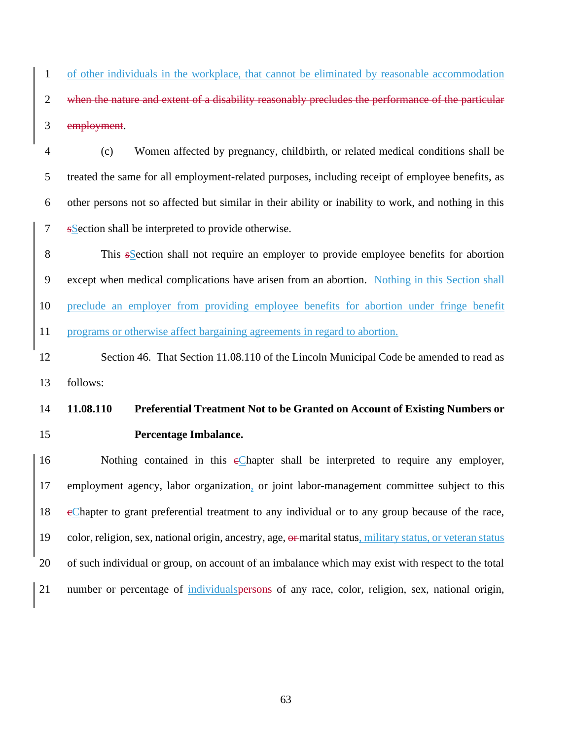of other individuals in the workplace, that cannot be eliminated by reasonable accommodation 2 when the nature and extent of a disability reasonably precludes the performance of the particular employment.

 (c) Women affected by pregnancy, childbirth, or related medical conditions shall be treated the same for all employment-related purposes, including receipt of employee benefits, as other persons not so affected but similar in their ability or inability to work, and nothing in this sSection shall be interpreted to provide otherwise.

 This sSection shall not require an employer to provide employee benefits for abortion except when medical complications have arisen from an abortion. Nothing in this Section shall preclude an employer from providing employee benefits for abortion under fringe benefit programs or otherwise affect bargaining agreements in regard to abortion.

 Section 46. That Section 11.08.110 of the Lincoln Municipal Code be amended to read as follows:

## **11.08.110 Preferential Treatment Not to be Granted on Account of Existing Numbers or Percentage Imbalance.**

16 Nothing contained in this eChapter shall be interpreted to require any employer, employment agency, labor organization, or joint labor-management committee subject to this cChapter to grant preferential treatment to any individual or to any group because of the race, 19 color, religion, sex, national origin, ancestry, age,  $\theta$  marital status, military status, or veteran status of such individual or group, on account of an imbalance which may exist with respect to the total number or percentage of individualspersons of any race, color, religion, sex, national origin,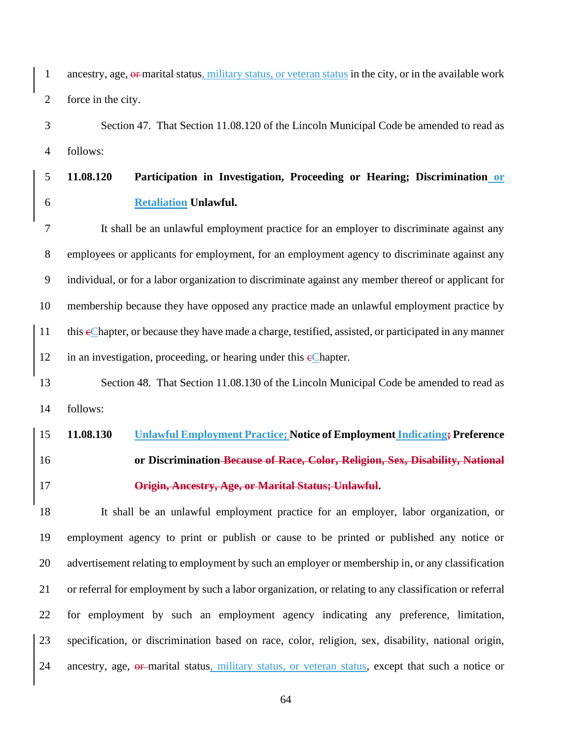ancestry, age, or marital status, military status, or veteran status in the city, or in the available work force in the city.

 Section 47. That Section 11.08.120 of the Lincoln Municipal Code be amended to read as follows:

## **11.08.120 Participation in Investigation, Proceeding or Hearing; Discrimination or Retaliation Unlawful.**

 It shall be an unlawful employment practice for an employer to discriminate against any employees or applicants for employment, for an employment agency to discriminate against any individual, or for a labor organization to discriminate against any member thereof or applicant for membership because they have opposed any practice made an unlawful employment practice by this cChapter, or because they have made a charge, testified, assisted, or participated in any manner 12 in an investigation, proceeding, or hearing under this  $e$ Chapter.

## 13 Section 48. That Section 11.08.130 of the Lincoln Municipal Code be amended to read as follows:

# **11.08.130 Unlawful Employment Practice; Notice of Employment Indicating; Preference or Discrimination Because of Race, Color, Religion, Sex, Disability, National Origin, Ancestry, Age, or Marital Status; Unlawful.**

 It shall be an unlawful employment practice for an employer, labor organization, or employment agency to print or publish or cause to be printed or published any notice or advertisement relating to employment by such an employer or membership in, or any classification or referral for employment by such a labor organization, or relating to any classification or referral for employment by such an employment agency indicating any preference, limitation, specification, or discrimination based on race, color, religion, sex, disability, national origin, 24 ancestry, age, or-marital status, military status, or veteran status, except that such a notice or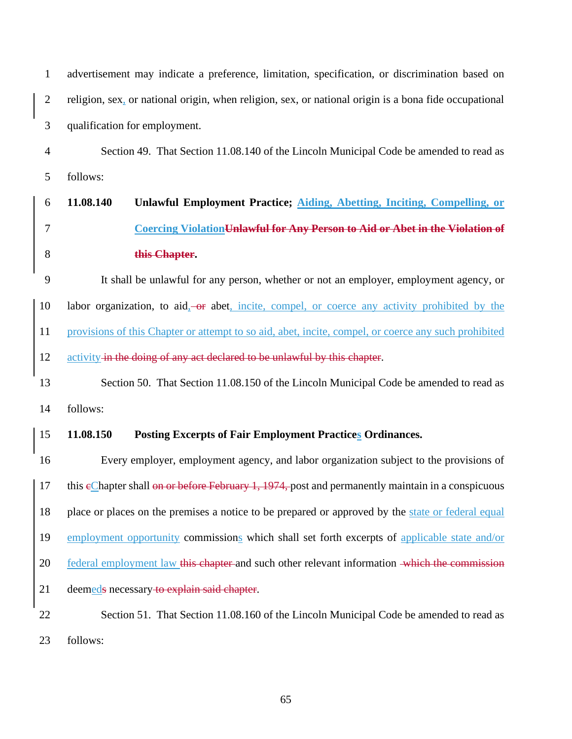| $\mathbf{1}$   | advertisement may indicate a preference, limitation, specification, or discrimination based on        |  |  |
|----------------|-------------------------------------------------------------------------------------------------------|--|--|
| $\mathbf{2}$   | religion, sex, or national origin, when religion, sex, or national origin is a bona fide occupational |  |  |
| 3              | qualification for employment.                                                                         |  |  |
| $\overline{4}$ | Section 49. That Section 11.08.140 of the Lincoln Municipal Code be amended to read as                |  |  |
| 5              | follows:                                                                                              |  |  |
| 6              | 11.08.140<br>Unlawful Employment Practice; Aiding, Abetting, Inciting, Compelling, or                 |  |  |
| 7              | Coercing Violation Unlawful for Any Person to Aid or Abet in the Violation of                         |  |  |
| 8              | this Chapter.                                                                                         |  |  |
| 9              | It shall be unlawful for any person, whether or not an employer, employment agency, or                |  |  |
| 10             | labor organization, to aid, or abet, incite, compel, or coerce any activity prohibited by the         |  |  |
| 11             | provisions of this Chapter or attempt to so aid, abet, incite, compel, or coerce any such prohibited  |  |  |
| 12             | activity in the doing of any act declared to be unlawful by this chapter.                             |  |  |
| 13             | Section 50. That Section 11.08.150 of the Lincoln Municipal Code be amended to read as                |  |  |
| 14             | follows:                                                                                              |  |  |
| 15             | 11.08.150<br><b>Posting Excerpts of Fair Employment Practices Ordinances.</b>                         |  |  |
| 16             | Every employer, employment agency, and labor organization subject to the provisions of                |  |  |
| <sup>17</sup>  | this eChapter shall on or before February 1, 1974, post and permanently maintain in a conspicuous     |  |  |
| 18             | place or places on the premises a notice to be prepared or approved by the state or federal equal     |  |  |
| 19             | employment opportunity commissions which shall set forth excerpts of applicable state and/or          |  |  |
| 20             | federal employment law this chapter and such other relevant information which the commission          |  |  |
| 21             | deemeds necessary to explain said chapter.                                                            |  |  |
| 22             | Section 51. That Section 11.08.160 of the Lincoln Municipal Code be amended to read as                |  |  |
| 23             | follows:                                                                                              |  |  |
|                |                                                                                                       |  |  |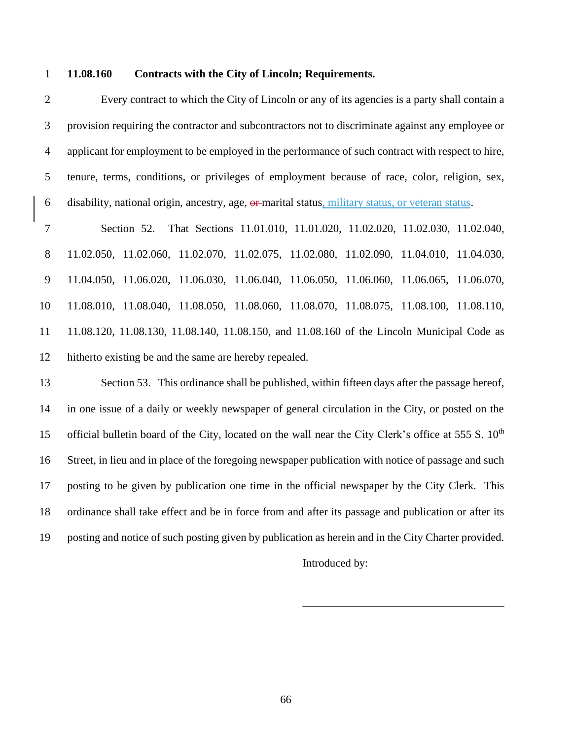#### **11.08.160 Contracts with the City of Lincoln; Requirements.**

 Every contract to which the City of Lincoln or any of its agencies is a party shall contain a provision requiring the contractor and subcontractors not to discriminate against any employee or applicant for employment to be employed in the performance of such contract with respect to hire, tenure, terms, conditions, or privileges of employment because of race, color, religion, sex, disability, national origin, ancestry, age, or marital status, military status, or veteran status.

 Section 52. That Sections 11.01.010, 11.01.020, 11.02.020, 11.02.030, 11.02.040, 11.02.050, 11.02.060, 11.02.070, 11.02.075, 11.02.080, 11.02.090, 11.04.010, 11.04.030, 11.04.050, 11.06.020, 11.06.030, 11.06.040, 11.06.050, 11.06.060, 11.06.065, 11.06.070, 11.08.010, 11.08.040, 11.08.050, 11.08.060, 11.08.070, 11.08.075, 11.08.100, 11.08.110, 11.08.120, 11.08.130, 11.08.140, 11.08.150, and 11.08.160 of the Lincoln Municipal Code as hitherto existing be and the same are hereby repealed.

 Section 53. This ordinance shall be published, within fifteen days after the passage hereof, in one issue of a daily or weekly newspaper of general circulation in the City, or posted on the 15 official bulletin board of the City, located on the wall near the City Clerk's office at 555 S.  $10<sup>th</sup>$  Street, in lieu and in place of the foregoing newspaper publication with notice of passage and such posting to be given by publication one time in the official newspaper by the City Clerk. This ordinance shall take effect and be in force from and after its passage and publication or after its posting and notice of such posting given by publication as herein and in the City Charter provided.

Introduced by:

\_\_\_\_\_\_\_\_\_\_\_\_\_\_\_\_\_\_\_\_\_\_\_\_\_\_\_\_\_\_\_\_\_\_\_\_